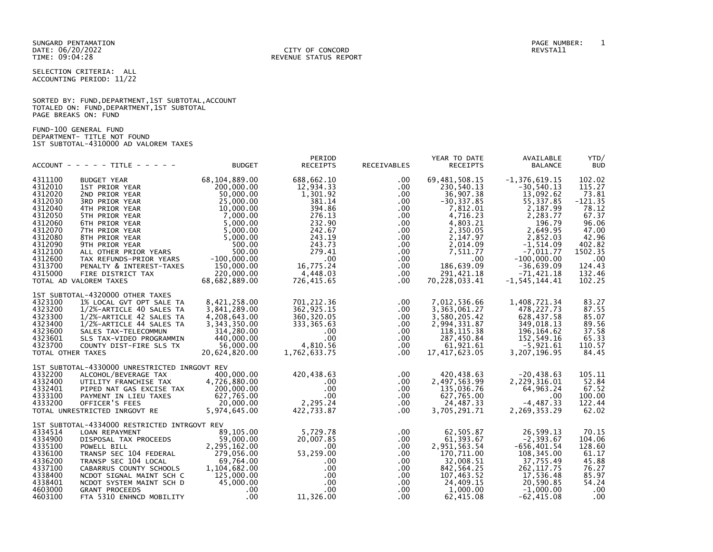SELECTION CRITERIA: ALL ACCOUNTING PERIOD: 11/22

|                      | SORTED BY: FUND, DEPARTMENT, 1ST SUBTOTAL, ACCOUNT |
|----------------------|----------------------------------------------------|
|                      | TOTALED ON: FUND, DEPARTMENT, 1ST SUBTOTAL         |
| PAGE BREAKS ON: FUND |                                                    |

FUND-100 GENERAL FUND DEPARTMENT- TITLE NOT FOUND 1ST SUBTOTAL-4310000 AD VALOREM TAXES

|                                                                                                                                                        | $ACCOUNT - - - - - TITE - - - - - -$                                                                                                                                                                                                                                                                                | <b>BUDGET</b>                                                                                                                                                                                        | PERIOD<br><b>RECEIPTS</b>                                                                                                                                              | RECEIVABLES                                                                                                                                                  | YEAR TO DATE<br><b>RECEIPTS</b>                                                                                                                                                                     | AVAILABLE<br><b>BALANCE</b>                                                                                                                                                                                                 | YTD/<br><b>BUD</b>                                                                                                                            |
|--------------------------------------------------------------------------------------------------------------------------------------------------------|---------------------------------------------------------------------------------------------------------------------------------------------------------------------------------------------------------------------------------------------------------------------------------------------------------------------|------------------------------------------------------------------------------------------------------------------------------------------------------------------------------------------------------|------------------------------------------------------------------------------------------------------------------------------------------------------------------------|--------------------------------------------------------------------------------------------------------------------------------------------------------------|-----------------------------------------------------------------------------------------------------------------------------------------------------------------------------------------------------|-----------------------------------------------------------------------------------------------------------------------------------------------------------------------------------------------------------------------------|-----------------------------------------------------------------------------------------------------------------------------------------------|
| 4311100<br>4312010<br>4312020<br>4312030<br>4312040<br>4312050<br>4312060<br>4312070<br>4312080<br>4312090<br>4312100<br>4312600<br>4313700<br>4315000 | <b>BUDGET YEAR</b><br>1ST PRIOR YEAR<br>2ND PRIOR YEAR<br>3RD PRIOR YEAR<br>4TH PRIOR YEAR<br>5TH PRIOR YEAR<br>6TH PRIOR YEAR<br>7TH PRIOR YEAR<br>8TH PRIOR YEAR<br>9TH PRIOR YEAR<br>ALL OTHER PRIOR YEARS<br>TAX REFUNDS-PRIOR YEARS<br>PENALTY & INTEREST-TAXES<br>FIRE DISTRICT TAX<br>TOTAL AD VALOREM TAXES | 68,104,889.00<br>200,000.00<br>50,000.00<br>25,000.00<br>10,000.00<br>7,000.00<br>5,000.00<br>5,000.00<br>5,000.00<br>500.00<br>500.00<br>$-100,000.00$<br>150,000.00<br>220,000.00<br>68,682,889.00 | 688,662.10<br>12,934.33<br>1,301.92<br>381.14<br>394.86<br>276.13<br>232.90<br>242.67<br>243.19<br>243.73<br>279.41<br>$.00 \,$<br>16,775.24<br>4,448.03<br>726,415.65 | $.00 \cdot$<br>.00<br>.00.<br>.00.<br>.00<br>$.00 \,$<br>$.00 \,$<br>$.00 \,$<br>$.00 \,$<br>$.00 \,$<br>$.00 \,$<br>.00.<br>.00.<br>$.00 \,$<br>$.00 \cdot$ | 69, 481, 508.15<br>230,540.13<br>36,907.38<br>$-30, 337.85$<br>7,812.01<br>4,716.23<br>4,803.21<br>2,350.05<br>2,147.97<br>2,014.09<br>7,511.77<br>.00<br>186,639.09<br>291,421.18<br>70,228,033.41 | $-1, 376, 619.15$<br>$-30,540.13$<br>13,092.62<br>55, 337.85<br>2,187.99<br>2,283.77<br>196.79<br>2,649.95<br>2,852.03<br>$-1, 514.09$<br>$-7.011.77$<br>$-100,000.00$<br>$-36,639.09$<br>$-71,421.18$<br>$-1, 545, 144.41$ | 102.02<br>115.27<br>73.81<br>$-121.35$<br>78.12<br>67.37<br>96.06<br>47.00<br>42.96<br>402.82<br>1502.35<br>.00<br>124.43<br>132.46<br>102.25 |
| 4323100<br>4323200<br>4323300<br>4323400<br>4323600<br>4323601<br>4323700<br>TOTAL OTHER TAXES                                                         | 1ST SUBTOTAL-4320000 OTHER TAXES<br>1% LOCAL GVT OPT SALE TA<br>1/2%-ARTICLE 40 SALES TA<br>1/2%-ARTICLE 42 SALES TA<br>1/2%-ARTICLE 44 SALES TA<br>SALES TAX-TELECOMMUN<br>SLS TAX-VIDEO PROGRAMMIN<br>COUNTY DIST-FIRE SLS TX                                                                                     | 8,421,258.00<br>3,841,289.00<br>4,208,643.00<br>3,343,350.00<br>314,280.00<br>440,000,00<br>56,000,00<br>20,624,820.00                                                                               | 701,212.36<br>362, 925.15<br>360, 320.05<br>333,365.63<br>$.00 \,$<br>$.00 \,$<br>4.810.56<br>1,762,633.75                                                             | $.00 \,$<br>$.00 \,$<br>.00<br>$.00 \,$<br>.00<br>$.00 \,$<br>.00.<br>$.00 \,$                                                                               | 7,012,536.66<br>3, 363, 061.27<br>3,580,205.42<br>2,994,331.87<br>118, 115.38<br>287,450.84<br>61.921.61<br>17,417,623.05                                                                           | 1,408,721.34<br>478, 227.73<br>628,437.58<br>349,018.13<br>196, 164.62<br>152,549.16<br>$-5.921.61$<br>3, 207, 196.95                                                                                                       | 83.27<br>87.55<br>85.07<br>89.56<br>37.58<br>65.33<br>110.57<br>84.45                                                                         |
| 4332200<br>4332400<br>4332401<br>4333100<br>4333200                                                                                                    | 1ST SUBTOTAL-4330000 UNRESTRICTED INRGOVT REV<br>ALCOHOL/BEVERAGE TAX<br>UTILITY FRANCHISE TAX<br>PIPED NAT GAS EXCISE TAX<br>PAYMENT IN LIEU TAXES<br>OFFICER'S FEES<br>TOTAL UNRESTRICTED INRGOVT RE                                                                                                              | 400,000.00<br>4,726,880.00<br>200,000.00<br>627,765.00<br>20.000.00<br>5,974,645.00                                                                                                                  | 420,438.63<br>$.00 \,$<br>$.00 \,$<br>$.00 \,$<br>2,295.24<br>422,733.87                                                                                               | $.00 \,$<br>$.00 \,$<br>$.00 \,$<br>.00<br>$.00 \,$<br>$.00 \,$                                                                                              | 420, 438.63<br>2,497,563.99<br>135,036.76<br>627,765.00<br>24,487.33<br>3,705,291.71                                                                                                                | $-20, 438.63$<br>2,229,316.01<br>64, 963. 24<br>.00<br>$-4, 487.33$<br>2,269,353.29                                                                                                                                         | 105.11<br>52.84<br>67.52<br>100.00<br>122.44<br>62.02                                                                                         |
| 4334514<br>4334900<br>4335100<br>4336100<br>4336200<br>4337100<br>4338400<br>4338401<br>4603000<br>4603100                                             | 1ST SUBTOTAL-4334000 RESTRICTED INTRGOVT REV<br>LOAN REPAYMENT<br>DISPOSAL TAX PROCEEDS<br>POWELL BILL<br>TRANSP SEC 104 FEDERAL<br>TRANSP SEC 104 LOCAL<br>CABARRUS COUNTY SCHOOLS<br>NCDOT SIGNAL MAINT SCH C<br>NCDOT SYSTEM MAINT SCH D<br><b>GRANT PROCEEDS</b><br>FTA 5310 ENHNCD MOBILITY                    | 89,105.00<br>59,000.00<br>2,295,162.00<br>279,056.00<br>69,764.00<br>1,104,682.00<br>125,000.00<br>45,000.00<br>$.00 \,$<br>.00                                                                      | 5,729.78<br>20,007.85<br>$.00 \,$<br>53,259.00<br>$.00 \,$<br>$.00 \times$<br>$.00 \,$<br>$.00 \ \,$<br>$.00 \,$<br>11,326.00                                          | .00<br>$.00 \,$<br>.00<br>.00<br>.00<br>.00<br>.00.<br>$.00 \,$<br>.00<br>.00.                                                                               | 62,505.87<br>61, 393.67<br>2,951,563.54<br>170,711.00<br>32,008.51<br>842, 564.25<br>107,463.52<br>24,409.15<br>1.000.00<br>62,415.08                                                               | 26,599.13<br>$-2, 393.67$<br>$-656, 401.54$<br>108,345.00<br>37,755.49<br>262, 117.75<br>17,536.48<br>20,590.85<br>$-1.000.00$<br>$-62, 415.08$                                                                             | 70.15<br>104.06<br>128.60<br>61.17<br>45.88<br>76.27<br>85.97<br>54.24<br>.00<br>.00                                                          |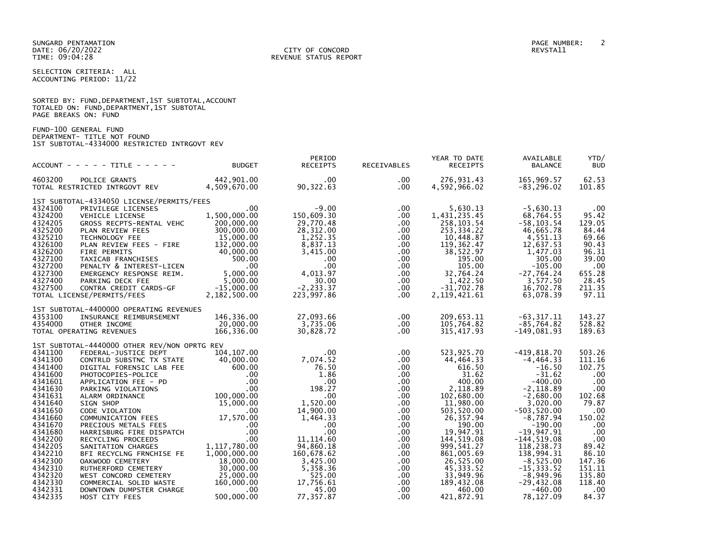SELECTION CRITERIA: ALL ACCOUNTING PERIOD: 11/22

|                      | SORTED BY: FUND, DEPARTMENT, 1ST SUBTOTAL, ACCOUNT |  |  |
|----------------------|----------------------------------------------------|--|--|
|                      | TOTALED ON: FUND, DEPARTMENT, 1ST SUBTOTAL         |  |  |
| PAGE BREAKS ON: FUND |                                                    |  |  |

FUND-100 GENERAL FUND DEPARTMENT- TITLE NOT FOUND 1ST SUBTOTAL-4334000 RESTRICTED INTRGOVT REV

|                    | $ACCOUNT - - - - + TITE - - - - -$                                                                                                                                                                                                               | <b>BUDGET</b>  | PERIOD<br><b>RECEIPTS</b> | RECEIVABLES          | YEAR TO DATE<br><b>RECEIPTS</b> | AVAILABLE<br><b>BALANCE</b>   | YTD/<br><b>BUD</b>           |
|--------------------|--------------------------------------------------------------------------------------------------------------------------------------------------------------------------------------------------------------------------------------------------|----------------|---------------------------|----------------------|---------------------------------|-------------------------------|------------------------------|
| 4603200            | POLICE GRANTS                                                                                                                                                                                                                                    | 442,901.00     | $.00 \cdot$               | $.00 \,$             | 276,931.43                      | 165,969.57                    | 62.53                        |
|                    | TOTAL RESTRICTED INTRGOVT REV                                                                                                                                                                                                                    | 4,509,670.00   | 90,322.63                 | $.00 \,$             | 4,592,966.02                    | $-83, 296.02$                 | 101.85                       |
|                    | 1ST SUBTOTAL-4334050 LICENSE/PERMITS/FEES                                                                                                                                                                                                        |                |                           |                      |                                 |                               |                              |
| 4324100            | PRIVILEGE LICENSES                                                                                                                                                                                                                               | $.00 \,$       | $-9.00$                   | $.00 \,$             | 5,630.13                        | $-5,630.13$                   | $.00 \,$                     |
| 4324200            | VEHICLE LICENSE                                                                                                                                                                                                                                  | 1,500,000.00   | 150,609.30                | $.00 \,$             | 1,431,235.45                    | 68,764.55                     | 95.42                        |
| 4324205            | GROSS RECPTS-RENTAL VEHC                                                                                                                                                                                                                         | 200,000.00     | 29,770.48                 | .00                  | 258, 103.54                     | $-58, 103.54$                 | 129.05                       |
| 4325200            | PLAN REVIEW FEES                                                                                                                                                                                                                                 | 300,000.00     | 28,312.00                 | $.00 \,$             | 253, 334. 22                    | 46,665.78                     | 84.44                        |
| 4325210            | TECHNOLOGY FEE<br>PLAN REVIEW FEES - FIRE                                                                                                                                                                                                        | 15,000.00      | 1,252.35                  | $.00 \,$             | 10,448.87                       | 4,551.13                      | 69.66                        |
| 4326100<br>4326200 |                                                                                                                                                                                                                                                  | 132,000.00     | 8,837.13<br>3.415.00      | $.00 \,$<br>$.00 \,$ | 119,362.47                      | 12,637.53                     | 90.43<br>96.31               |
| 4327100            | ---- LAWLIS ---- 7000.00<br>TAXICAB FRANCHISES 40,000.00<br>PENALTY & INTEREST-LICEN 500.00<br>EMERGENCY RESPONSE                                                                                                                                |                | $.00 \,$                  | $.00 \,$             | 38,522.97<br>195.00             | 1,477.03<br>305.00            | 39.00                        |
| 4327200            |                                                                                                                                                                                                                                                  |                | $.00 \,$                  | .00                  | 105.00                          | $-105.00$                     | $.00 \,$                     |
| 4327300            | EMERGENCY RESPONSE REIM. 5,000.00                                                                                                                                                                                                                |                | 4,013.97                  | $.00 \,$             | 32.764.24                       | $-27,764.24$                  | 655.28                       |
| 4327400            |                                                                                                                                                                                                                                                  |                | 30.00                     | $.00 \,$             | 1,422.50                        | 3,577.50                      | 28.45                        |
| 4327500            | PARKING DECK FEE 5,000.00<br>CONTRA CREDIT CARDS-GF -15,000.00                                                                                                                                                                                   |                | $-2, 233.37$              | $.00 \,$             | $-31,702.78$                    | 16,702.78                     | 211.35                       |
|                    | TOTAL LICENSE/PERMITS/FEES                                                                                                                                                                                                                       | 2,182,500.00   | 223,997.86                | $.00 \,$             | 2, 119, 421.61                  | 63,078.39                     | 97.11                        |
|                    | 1ST SUBTOTAL-4400000 OPERATING REVENUES                                                                                                                                                                                                          |                |                           |                      |                                 |                               |                              |
| 4353100            | INSURANCE REIMBURSEMENT                                                                                                                                                                                                                          | 146,336.00     | 27,093.66                 | $.00 \,$             | 209,653.11                      | $-63, 317.11$                 | 143.27                       |
| 4354000            | OTHER INCOME                                                                                                                                                                                                                                     | 20,000.00      | 3,735.06                  | $.00 \,$             | 105,764.82                      | $-85,764.82$                  | 528.82                       |
|                    | TOTAL OPERATING REVENUES                                                                                                                                                                                                                         | 166,336.00     | 30,828.72                 | $.00 \,$             | 315,417.93                      | $-149,081.93$                 | 189.63                       |
|                    | 1ST SUBTOTAL-4440000 OTHER REV/NON OPRTG REV                                                                                                                                                                                                     |                |                           |                      |                                 |                               |                              |
| 4341100            | FEDERAL-JUSTICE DEPT                                                                                                                                                                                                                             | 104,107.00     | $.00\,$                   | .00                  | 523,925.70                      | $-419,818.70$                 | 503.26                       |
| 4341300            | CONTRLD SUBSTNC TX STATE 40,000.00                                                                                                                                                                                                               |                | 7,074.52                  | $.00 \,$             | 44,464.33                       | $-4,464.33$                   | 111.16                       |
| 4341400            | UNITED SUBSINCTION<br>DIGITAL FORENSIC LAB FEE<br>APPLICATION FEE - PD 000.00<br>PHOTOCOPIES-POLICE<br>APPLICATION FEE - PD 000.00<br>PARKING VIOLATIONS<br>SUBARO 100,000.00<br>SUBARO 100,000.00<br>COMMUNICATION FEES 00<br>COMMUNICATION FEE |                | 76.50                     | $.00 \,$             | 616.50                          | $-16.50$                      | 102.75                       |
| 4341600            |                                                                                                                                                                                                                                                  |                | 1.86                      | $.00 \,$             | 31.62                           | $-31.62$                      | .00                          |
| 4341601            |                                                                                                                                                                                                                                                  |                | $.00 \,$                  | $.00 \,$             | 400.00                          | $-400.00$                     | .00                          |
| 4341630            |                                                                                                                                                                                                                                                  |                | 198.27                    | $.00 \,$             | 2,118.89                        | $-2.118.89$                   | $.00 \,$                     |
| 4341631            |                                                                                                                                                                                                                                                  |                | .00                       | $.00 \,$             | 102,680.00                      | $-2,680.00$                   | 102.68                       |
| 4341640            |                                                                                                                                                                                                                                                  |                | 1,520.00                  | $.00 \,$             | 11,980.00                       | 3.020.00                      | 79.87                        |
| 4341650<br>4341660 |                                                                                                                                                                                                                                                  |                | 14,900.00<br>1,464.33     | $.00 \,$<br>$.00 \,$ | 503,520.00<br>26,357.94         | $-503, 520.00$<br>$-8,787.94$ | .00<br>150.02                |
| 4341670            | COMMUNICATION FEES<br>PRECIOUS METALS FEES<br>HARRISBURG FIRE DISPATCH                                                                                                                                                                           | .00            | $.00 \,$                  | $.00 \,$             | 190.00                          | $-190.00$                     | .00                          |
| 4341680            |                                                                                                                                                                                                                                                  | $.00 \,$       | $.00 \,$                  | $.00 \,$             | 19,947.91                       | $-19,947.91$                  | .00                          |
| 4342200            |                                                                                                                                                                                                                                                  | $.00 \,$       | 11, 114.60                | $.00 \,$             | 144,519.08                      | $-144, 519.08$                | .00                          |
| 4342205            | SANITATION CHARGES                                                                                                                                                                                                                               | 1, 117, 780.00 | 94,860.18                 | $.00 \,$             | 999,541.27                      | 118,238.73                    | 89.42                        |
| 4342210            | BFI RECYCLNG FRNCHISE FE                                                                                                                                                                                                                         | 1,000,000.00   | 160,678.62                | $.00 \,$             | 861,005.69                      | 138,994.31                    | 86.10                        |
| 4342300            | OAKWOOD CEMETERY                                                                                                                                                                                                                                 | 18,000.00      | 3,425.00                  | $.00 \,$             | 26,525.00                       | $-8,525.00$                   | 147.36                       |
| 4342310            | RUTHERFORD CEMETERY                                                                                                                                                                                                                              | 30,000.00      | 5,358.36                  | $.00 \,$             | 45,333.52                       | $-15, 333.52$                 | 151.11                       |
| 4342320            | WEST CONCORD CEMETERY                                                                                                                                                                                                                            | 25,000.00      | 525.00                    | .00                  | 33,949.96                       | $-8,949.96$                   | 135.80                       |
| 4342330            | COMMERCIAL SOLID WASTE                                                                                                                                                                                                                           | 160,000.00     | 17,756.61                 | $.00 \,$             | 189,432.08                      | $-29,432.08$                  | 118.40                       |
| 4342331            | DOWNTOWN DUMPSTER CHARGE                                                                                                                                                                                                                         | .00            | 45.00                     | $.00 \,$             | 460.00                          | $-460.00$                     | $\overline{\phantom{0}}$ .00 |
| 4342335            | HOST CITY FEES                                                                                                                                                                                                                                   | 500,000.00     | 77,357.87                 | $.00 \cdot$          | 421,872.91                      | 78,127.09                     | 84.37                        |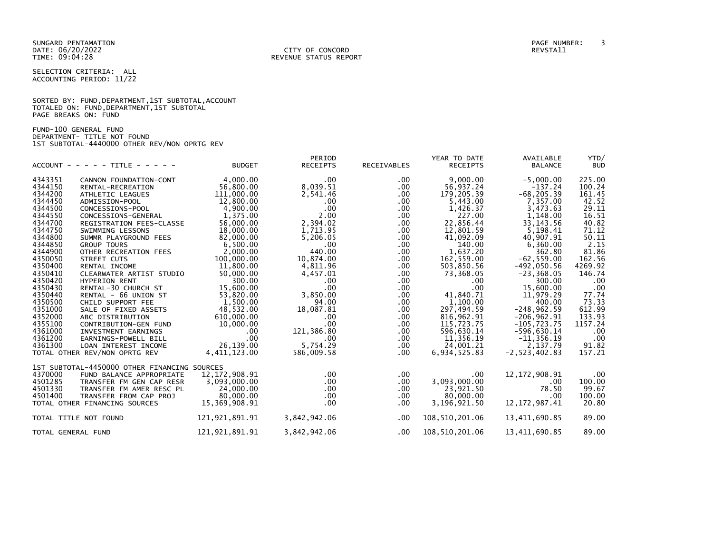SELECTION CRITERIA: ALL ACCOUNTING PERIOD: 11/22

|                      | SORTED BY: FUND, DEPARTMENT, 1ST SUBTOTAL, ACCOUNT |
|----------------------|----------------------------------------------------|
|                      | TOTALED ON: FUND, DEPARTMENT, 1ST SUBTOTAL         |
| PAGE BREAKS ON: FUND |                                                    |

FUND-100 GENERAL FUND DEPARTMENT- TITLE NOT FOUND 1ST SUBTOTAL-4440000 OTHER REV/NON OPRTG REV

| $ACCOUNT - - - - - TITE - - - - - -$         | <b>BUDGET</b>    | PERIOD<br><b>RECEIPTS</b> | <b>RECEIVABLES</b> | YEAR TO DATE<br><b>RECEIPTS</b> | AVAILABLE<br><b>BALANCE</b> | YTD/<br><b>BUD</b> |
|----------------------------------------------|------------------|---------------------------|--------------------|---------------------------------|-----------------------------|--------------------|
| 4343351<br>CANNON FOUNDATION-CONT            | 4,000.00         | .00                       | .00                | 9,000.00                        | $-5,000.00$                 | 225.00             |
| 4344150<br>RENTAL-RECREATION                 | 56.800.00        | 8,039.51                  | .00                | 56,937.24                       | $-137.24$                   | 100.24             |
| 4344200<br>ATHLETIC LEAGUES                  | 111,000.00       | 2,541.46                  | .00                | 179,205.39                      | $-68, 205.39$               | 161.45             |
| 4344450<br>ADMISSION-POOL                    | 12,800.00        | $.00 \,$                  | .00                | 5,443.00                        | 7,357.00                    | 42.52              |
| 4344500<br>CONCESSIONS-POOL                  | 4,900.00         | .00 <sub>1</sub>          | $.00 \,$           | 1,426.37                        | 3,473.63                    | 29.11              |
| 4344550<br>CONCESSIONS-GENERAL               | 1.375.00         | 2.00                      | .00.               | 227.00                          | 1,148.00                    | 16.51              |
| 4344700<br>REGISTRATION FEES-CLASSE          | 56,000.00        | 2,394.02                  | $.00 \,$           | 22,856.44                       | 33, 143.56                  | 40.82              |
| 4344750<br>SWIMMING LESSONS                  | 18,000.00        | 1,713.95                  | $.00 \,$           | 12,801.59                       | 5,198.41                    | 71.12              |
| 4344800<br>SUMMR PLAYGROUND FEES             | 82,000.00        | 5.206.05                  | .00                | 41,092.09                       | 40.907.91                   | 50.11              |
| 4344850<br><b>GROUP TOURS</b>                | 6,500.00         | $.00 \ \,$                | .00                | 140.00                          | 6,360.00                    | 2.15               |
| 4344900<br>OTHER RECREATION FEES             | 2,000.00         | 440.00                    | .00.               | 1,637.20                        | 362.80                      | 81.86              |
| 4350050<br>STREET CUTS                       | 100,000.00       | 10.874.00                 | .00                | 162,559.00                      | $-62.559.00$                | 162.56             |
| 4350400<br>RENTAL INCOME                     | 11,800.00        | 4,811.96                  | .00                | 503,850.56                      | $-492,050.56$               | 4269.92            |
| 4350410<br>CLEARWATER ARTIST STUDIO          | 50,000.00        | 4,457.01                  | .00                | 73,368.05                       | $-23, 368.05$               | 146.74             |
| 4350420<br><b>HYPERION RENT</b>              | 300.00           | $.00 \,$                  | .00                | $.00 \,$                        | 300.00                      | .00                |
| 4350430<br>RENTAL-30 CHURCH ST               | 15,600.00        | $.00 \,$                  | .00.               | .00                             | 15,600.00                   | .00                |
| 4350440<br>RENTAL - 66 UNION ST              | 53,820.00        | 3,850.00                  | $.00 \,$           | 41,840.71                       | 11,979.29                   | 77.74              |
| 4350500<br>CHILD SUPPORT FEE                 | 1,500.00         | 94.00                     | .00.               | 1,100.00                        | 400.00                      | 73.33              |
| 4351000<br>SALE OF FIXED ASSETS              | 48,532.00        | 18,087.81                 | .00                | 297,494.59                      | $-248,962.59$               | 612.99             |
| 4352000<br>ABC DISTRIBUTION                  | 610,000.00       | .00                       | .00.               | 816,962.91                      | $-206, 962.91$              | 133.93             |
| 4355100<br>CONTRIBUTION-GEN FUND             | 10.000.00        | .00 <sub>1</sub>          | .00                | 115,723.75                      | $-105, 723.75$              | 1157.24            |
| 4361000<br>INVESTMENT EARNINGS               | $.00 \,$         | 121,386.80                | $.00 \,$           | 596,630.14                      | $-596,630.14$               | .00                |
| 4361200<br>EARNINGS-POWELL BILL              | $.00 \times$     | $.00 \,$                  | .00.               | 11,356.19                       | $-11, 356.19$               | .00                |
| 4361300<br>LOAN INTEREST INCOME              | 26.139.00        | 5.754.29                  | .00.               | 24,001.21                       | 2.137.79                    | 91.82              |
| TOTAL OTHER REV/NON OPRTG REV                | 4,411,123.00     | 586,009.58                | .00.               | 6,934,525.83                    | $-2, 523, 402.83$           | 157.21             |
| 1ST SUBTOTAL-4450000 OTHER FINANCING SOURCES |                  |                           |                    |                                 |                             |                    |
| 4370000<br>FUND BALANCE APPROPRIATE          | 12, 172, 908. 91 | $.00 \,$                  | .00                | .00                             | 12, 172, 908. 91            | .00                |
| 4501285<br>TRANSFER FM GEN CAP RESR          | 3,093,000.00     | $.00 \,$                  | $.00 \,$           | 3,093,000.00                    | $.00 \,$                    | 100.00             |
| 4501330<br>TRANSFER FM AMER RESC PL          | 24,000.00        | $.00 \,$                  | $.00 \,$           | 23,921.50                       | 78.50                       | 99.67              |
| 4501400<br>TRANSFER FROM CAP PROJ            | 80,000.00        | $.00 \,$                  | $.00 \,$           | 80,000.00                       | $.00 \,$                    | 100.00             |
| TOTAL OTHER FINANCING SOURCES                | 15,369,908.91    | .00 <sub>1</sub>          | $.00 \,$           | 3,196,921.50                    | 12, 172, 987.41             | 20.80              |
| TOTAL TITLE NOT FOUND                        | 121,921,891.91   | 3,842,942.06              | $.00 \,$           | 108,510,201.06                  | 13,411,690.85               | 89.00              |
| TOTAL GENERAL FUND                           | 121,921,891.91   | 3,842,942.06              | .00.               | 108,510,201.06                  | 13,411,690.85               | 89.00              |
|                                              |                  |                           |                    |                                 |                             |                    |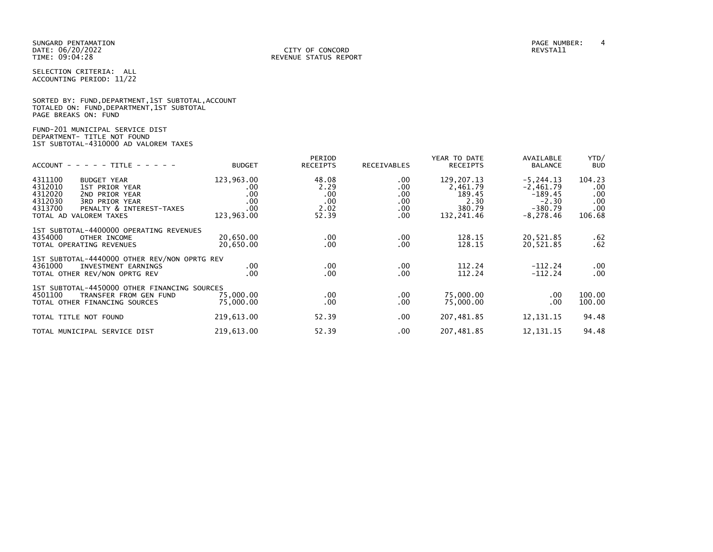SELECTION CRITERIA: ALL ACCOUNTING PERIOD: 11/22

|                      |  |  | SORTED BY: FUND, DEPARTMENT, 1ST SUBTOTAL, ACCOUNT |  |
|----------------------|--|--|----------------------------------------------------|--|
|                      |  |  | TOTALED ON: FUND,DEPARTMENT,1ST SUBTOTAL           |  |
| PAGE BREAKS ON: FUND |  |  |                                                    |  |

# FUND-201 MUNICIPAL SERVICE DIST DEPARTMENT- TITLE NOT FOUND 1ST SUBTOTAL-4310000 AD VALOREM TAXES

| $ACCOUNT$ - - - - TITLE - - - -                                                                                                                                                       | <b>BUDGET</b>                                             | PERIOD<br><b>RECEIPTS</b>                    | RECEIVABLES                                           | YEAR TO DATE<br><b>RECEIPTS</b>                                    | AVAILABLE<br><b>BALANCE</b>                                                      | YTD/<br><b>BUD</b>                                |
|---------------------------------------------------------------------------------------------------------------------------------------------------------------------------------------|-----------------------------------------------------------|----------------------------------------------|-------------------------------------------------------|--------------------------------------------------------------------|----------------------------------------------------------------------------------|---------------------------------------------------|
| 4311100<br><b>BUDGET YEAR</b><br>4312010<br>1ST PRIOR YEAR<br>4312020<br>2ND PRIOR YEAR<br>4312030<br>3RD PRIOR YEAR<br>4313700<br>PENALTY & INTEREST-TAXES<br>TOTAL AD VALOREM TAXES | 123,963.00<br>$.00 \,$<br>.00<br>.00<br>.00<br>123,963.00 | 48.08<br>2.29<br>.00<br>.00<br>2.02<br>52.39 | $.00 \,$<br>.00<br>.00<br>$.00 \,$<br>$.00 \,$<br>.00 | 129, 207. 13<br>2,461.79<br>189.45<br>2.30<br>380.79<br>132,241.46 | $-5, 244.13$<br>$-2,461.79$<br>$-189.45$<br>$-2.30$<br>$-380.79$<br>$-8, 278.46$ | 104.23<br>$.00 \,$<br>.00<br>.00<br>.00<br>106.68 |
| 1ST SUBTOTAL-4400000 OPERATING REVENUES<br>4354000<br>OTHER INCOME<br>TOTAL OPERATING REVENUES                                                                                        | 20.650.00<br>20,650.00                                    | $.00 \,$<br>.00.                             | .00.<br>.00                                           | 128.15<br>128.15                                                   | 20,521.85<br>20,521.85                                                           | . 62<br>.62                                       |
| 1ST SUBTOTAL-4440000 OTHER REV/NON OPRTG REV<br>4361000<br>INVESTMENT EARNINGS<br>TOTAL OTHER REV/NON OPRTG REV                                                                       | $.00 \,$<br>.00                                           | .00<br>$.00 \,$                              | .00.<br>.00                                           | 112.24<br>112.24                                                   | $-112.24$<br>$-112.24$                                                           | $.00 \,$<br>.00                                   |
| 1ST SUBTOTAL-4450000 OTHER FINANCING SOURCES<br>4501100<br>TRANSFER FROM GEN FUND<br>TOTAL OTHER FINANCING SOURCES                                                                    | 75,000.00<br>75,000.00                                    | .00<br>.00.                                  | .00<br>.00                                            | 75,000.00<br>75,000.00                                             | .00.<br>.00                                                                      | 100.00<br>100.00                                  |
| TOTAL TITLE NOT FOUND                                                                                                                                                                 | 219,613.00                                                | 52.39                                        | .00                                                   | 207,481.85                                                         | 12, 131. 15                                                                      | 94.48                                             |
| TOTAL MUNICIPAL SERVICE DIST                                                                                                                                                          | 219,613.00                                                | 52.39                                        | .00                                                   | 207,481.85                                                         | 12, 131. 15                                                                      | 94.48                                             |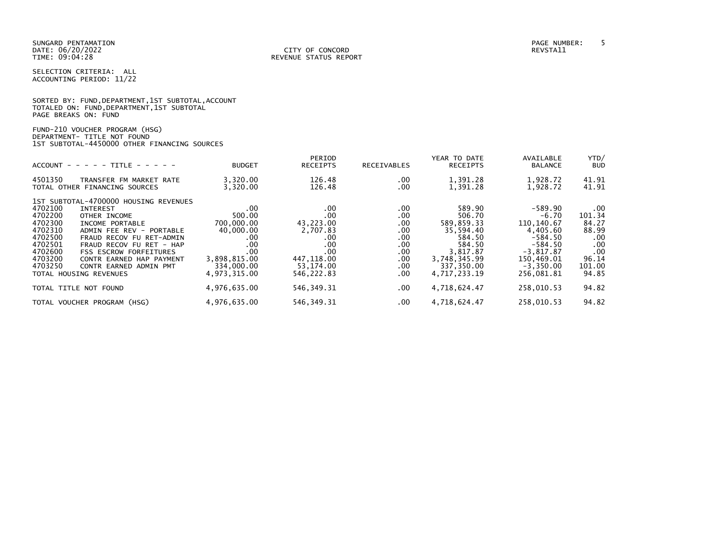|                      |  |  | SORTED BY: FUND, DEPARTMENT, 1ST SUBTOTAL, ACCOUNT |  |
|----------------------|--|--|----------------------------------------------------|--|
|                      |  |  | TOTALED ON: FUND, DEPARTMENT, 1ST SUBTOTAL         |  |
| PAGE BREAKS ON: FUND |  |  |                                                    |  |

| FUND-210 VOUCHER PROGRAM (HSG)               |  |
|----------------------------------------------|--|
| DEPARTMENT- TITLE NOT FOUND                  |  |
| 1ST SUBTOTAL-4450000 OTHER FINANCING SOURCES |  |

| $ACCOUNT - - - - - TITLE - - - - -$                                                                                                                                                                                                                                                                                                                                                                 | <b>BUDGET</b>                                                                                                    | PERIOD<br><b>RECEIPTS</b>                                                                         | RECEIVABLES                                                                | YEAR TO DATE<br><b>RECEIPTS</b>                                                                                           | AVAILABLE<br><b>BALANCE</b>                                                                                                         | YTD/<br><b>BUD</b>                                                                    |
|-----------------------------------------------------------------------------------------------------------------------------------------------------------------------------------------------------------------------------------------------------------------------------------------------------------------------------------------------------------------------------------------------------|------------------------------------------------------------------------------------------------------------------|---------------------------------------------------------------------------------------------------|----------------------------------------------------------------------------|---------------------------------------------------------------------------------------------------------------------------|-------------------------------------------------------------------------------------------------------------------------------------|---------------------------------------------------------------------------------------|
| 4501350<br>TRANSFER FM MARKET RATE<br>TOTAL OTHER FINANCING SOURCES                                                                                                                                                                                                                                                                                                                                 | 3,320.00<br>3,320.00                                                                                             | 126.48<br>126.48                                                                                  | .00.<br>.00                                                                | 1,391.28<br>1,391.28                                                                                                      | 1,928.72<br>1,928.72                                                                                                                | 41.91<br>41.91                                                                        |
| 1ST SUBTOTAL-4700000 HOUSING REVENUES<br>4702100<br><b>INTEREST</b><br>4702200<br>OTHER INCOME<br>4702300<br>INCOME PORTABLE<br>4702310<br>ADMIN FEE REV - PORTABLE<br>4702500<br>FRAUD RECOV FU RET-ADMIN<br>4702501<br>FRAUD RECOV FU RET - HAP<br>4702600<br><b>FSS ESCROW FORFEITURES</b><br>4703200<br>CONTR EARNED HAP PAYMENT<br>4703250<br>CONTR EARNED ADMIN PMT<br>TOTAL HOUSING REVENUES | $.00 \,$<br>500.00<br>700,000.00<br>40,000.00<br>.00<br>.00<br>.00<br>3,898,815.00<br>334,000.00<br>4,973,315.00 | .00<br>.00<br>43,223.00<br>2,707.83<br>.00<br>.00<br>.00<br>447,118.00<br>53,174.00<br>546,222.83 | .00.<br>.00.<br>.00.<br>.00.<br>.00<br>.00<br>.00.<br>.00.<br>.00.<br>.00. | 589.90<br>506.70<br>589,859.33<br>35,594.40<br>584.50<br>584.50<br>3.817.87<br>3,748,345.99<br>337,350.00<br>4,717,233.19 | $-589.90$<br>$-6.70$<br>110, 140.67<br>4,405.60<br>$-584.50$<br>$-584.50$<br>$-3.817.87$<br>150,469.01<br>$-3,350.00$<br>256,081.81 | $.00 \,$<br>101.34<br>84.27<br>88.99<br>.00<br>.00<br>.00<br>96.14<br>101.00<br>94.85 |
| TOTAL TITLE NOT FOUND                                                                                                                                                                                                                                                                                                                                                                               | 4,976,635.00                                                                                                     | 546, 349. 31                                                                                      | $.00 \,$                                                                   | 4,718,624.47                                                                                                              | 258,010.53                                                                                                                          | 94.82                                                                                 |
| TOTAL VOUCHER PROGRAM (HSG)                                                                                                                                                                                                                                                                                                                                                                         | 4,976,635.00                                                                                                     | 546, 349. 31                                                                                      | .00.                                                                       | 4,718,624.47                                                                                                              | 258,010.53                                                                                                                          | 94.82                                                                                 |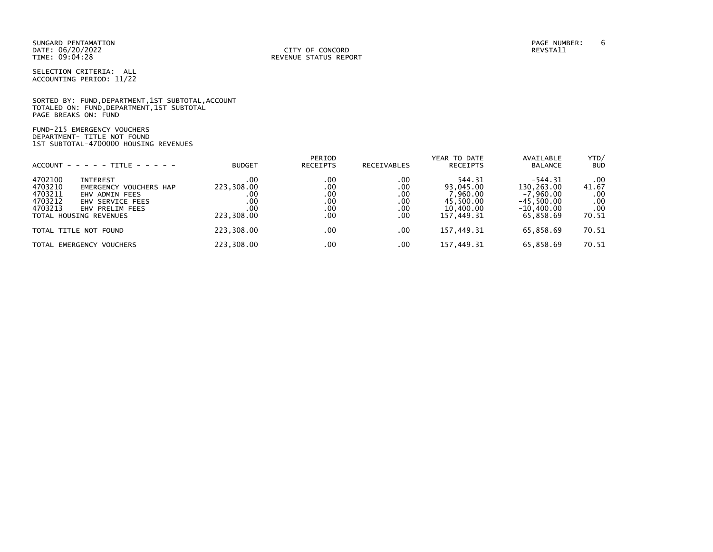SUNGARD PENTAMATION PAGE NUMBER: 6 DATE: 06/20/2022<br>TIME: 09:04:28

SELECTION CRITERIA: ALL ACCOUNTING PERIOD: 11/22

SORTED BY: FUND,DEPARTMENT,1ST SUBTOTAL,ACCOUNT TOTALED ON: FUND,DEPARTMENT,1ST SUBTOTAL PAGE BREAKS ON: FUND

FUND-215 EMERGENCY VOUCHERS DEPARTMENT- TITLE NOT FOUND 1ST SUBTOTAL-4700000 HOUSING REVENUES

|                                                                               | $ACCOUNT - - - - + TITE - - - - -$                                                                 | <b>BUDGET</b>                                        | PERIOD<br><b>RECEIPTS</b>              | <b>RECEIVABLES</b>                     | YEAR TO DATE<br><b>RECEIPTS</b>                                         | AVAILABLE<br><b>BALANCE</b>                                                         | YTD/<br><b>BUD</b>                         |
|-------------------------------------------------------------------------------|----------------------------------------------------------------------------------------------------|------------------------------------------------------|----------------------------------------|----------------------------------------|-------------------------------------------------------------------------|-------------------------------------------------------------------------------------|--------------------------------------------|
| 4702100<br>4703210<br>4703211<br>4703212<br>4703213<br>TOTAL HOUSING REVENUES | <b>INTEREST</b><br>EMERGENCY VOUCHERS HAP<br>EHV ADMIN FEES<br>EHV SERVICE FEES<br>EHV PRELIM FEES | .00<br>223,308.00<br>.00<br>.00<br>.00<br>223,308.00 | .00<br>.00<br>.00<br>.00<br>.00<br>.00 | .00<br>.00<br>.00<br>.00<br>.00<br>.00 | 544.31<br>93,045.00<br>7,960.00<br>45.500.00<br>10,400,00<br>157,449.31 | $-544.31$<br>130,263.00<br>$-7.960.00$<br>$-45.500.00$<br>$-10.400.00$<br>65,858.69 | .00<br>41.67<br>.00<br>.00<br>.00<br>70.51 |
| TOTAL TITLE NOT FOUND                                                         |                                                                                                    | 223,308.00                                           | .00                                    | .00                                    | 157,449.31                                                              | 65,858.69                                                                           | 70.51                                      |
|                                                                               | TOTAL EMERGENCY VOUCHERS                                                                           | 223,308.00                                           | .00                                    | .00                                    | 157,449.31                                                              | 65,858.69                                                                           | 70.51                                      |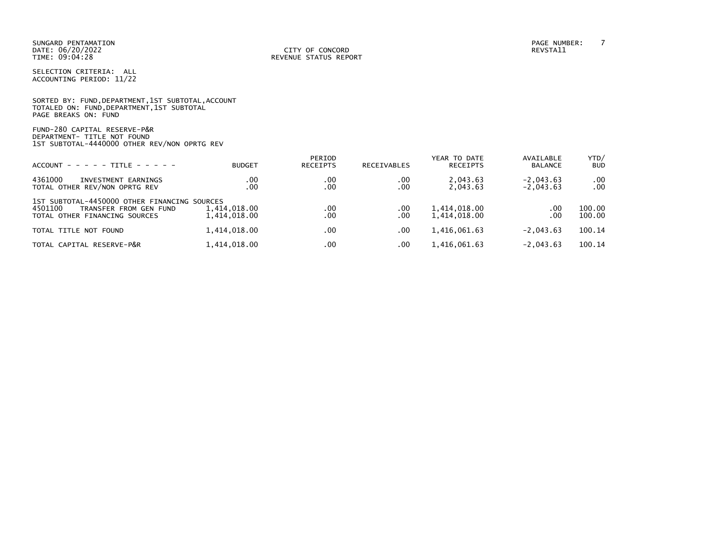|                      |  |  | SORTED BY: FUND, DEPARTMENT, 1ST SUBTOTAL, ACCOUNT |  |
|----------------------|--|--|----------------------------------------------------|--|
|                      |  |  | TOTALED ON: FUND, DEPARTMENT, 1ST SUBTOTAL         |  |
| PAGE BREAKS ON: FUND |  |  |                                                    |  |

FUND-280 CAPITAL RESERVE-P&R DEPARTMENT- TITLE NOT FOUND 1ST SUBTOTAL-4440000 OTHER REV/NON OPRTG REV

| $ACCOUNT - - - - - TITLE - - - - -$                                                                                | <b>BUDGET</b>                | PERIOD<br><b>RECEIPTS</b> | <b>RECEIVABLES</b> | YEAR TO DATE<br><b>RECEIPTS</b> | AVAILABLE<br><b>BALANCE</b> | YTD/<br><b>BUD</b>   |
|--------------------------------------------------------------------------------------------------------------------|------------------------------|---------------------------|--------------------|---------------------------------|-----------------------------|----------------------|
| 4361000<br>INVESTMENT EARNINGS<br>TOTAL OTHER REV/NON OPRTG REV                                                    | .00<br>.00                   | .00<br>.00                | .00<br>.00         | 2.043.63<br>2,043.63            | $-2.043.63$<br>$-2,043.63$  | $.00 \,$<br>$.00 \,$ |
| 1ST SUBTOTAL-4450000 OTHER FINANCING SOURCES<br>4501100<br>TRANSFER FROM GEN FUND<br>TOTAL OTHER FINANCING SOURCES | 1,414,018.00<br>1,414,018.00 | .00<br>.00                | .00<br>.00         | 1,414,018.00<br>1,414,018.00    | .00<br>.00                  | 100.00<br>100.00     |
| TOTAL TITLE NOT FOUND                                                                                              | 1,414,018.00                 | .00                       | .00                | 1,416,061.63                    | $-2.043.63$                 | 100.14               |
| TOTAL CAPITAL RESERVE-P&R                                                                                          | 1,414,018.00                 | .00                       | .00                | 1,416,061.63                    | $-2.043.63$                 | 100.14               |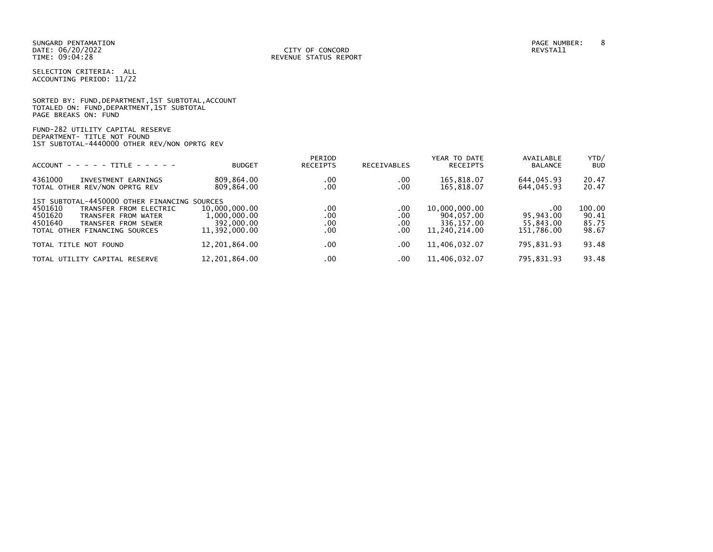SELECTION CRITERIA: ALL ACCOUNTING PERIOD: 11/22

|                      |                                            | SORTED BY: FUND, DEPARTMENT, 1ST SUBTOTAL, ACCOUNT |
|----------------------|--------------------------------------------|----------------------------------------------------|
|                      | TOTALED ON: FUND, DEPARTMENT, 1ST SUBTOTAL |                                                    |
| PAGE BREAKS ON: FUND |                                            |                                                    |

FUND-282 UTILITY CAPITAL RESERVE DEPARTMENT- TITLE NOT FOUND 1ST SUBTOTAL-4440000 OTHER REV/NON OPRTG REV

| $ACCOUNT - - - - - TITLE - - - - -$                                                                                                                                                    | <b>BUDGET</b>                                                | PERIOD<br><b>RECEIPTS</b> | <b>RECEIVABLES</b>         | YEAR TO DATE<br><b>RECEIPTS</b>                            | AVAILABLE<br><b>BALANCE</b>                 | YTD/<br><b>BUD</b>                |
|----------------------------------------------------------------------------------------------------------------------------------------------------------------------------------------|--------------------------------------------------------------|---------------------------|----------------------------|------------------------------------------------------------|---------------------------------------------|-----------------------------------|
| 4361000<br>INVESTMENT EARNINGS<br>TOTAL OTHER REV/NON OPRTG REV                                                                                                                        | 809,864.00<br>809,864.00                                     | .00<br>.00                | .00<br>.00                 | 165,818.07<br>165,818.07                                   | 644,045.93<br>644,045.93                    | 20.47<br>20.47                    |
| 1ST SUBTOTAL-4450000 OTHER FINANCING SOURCES<br>4501610<br>TRANSFER FROM ELECTRIC<br>4501620<br>TRANSFER FROM WATER<br>4501640<br>TRANSFER FROM SEWER<br>TOTAL OTHER FINANCING SOURCES | 10,000,000.00<br>1,000,000.00<br>392,000.00<br>11.392.000.00 | .00<br>.00<br>.00<br>.00  | .00<br>.00<br>.00.<br>.00. | 10,000,000.00<br>904,057.00<br>336.157.00<br>11.240.214.00 | .00<br>95.943.00<br>55.843.00<br>151.786.00 | 100.00<br>90.41<br>85.75<br>98.67 |
| TOTAL TITLE NOT FOUND                                                                                                                                                                  | 12,201,864.00                                                | .00                       | .00                        | 11,406,032.07                                              | 795,831.93                                  | 93.48                             |
| TOTAL UTILITY CAPITAL RESERVE                                                                                                                                                          | 12,201,864.00                                                | .00                       | .00                        | 11.406.032.07                                              | 795,831.93                                  | 93.48                             |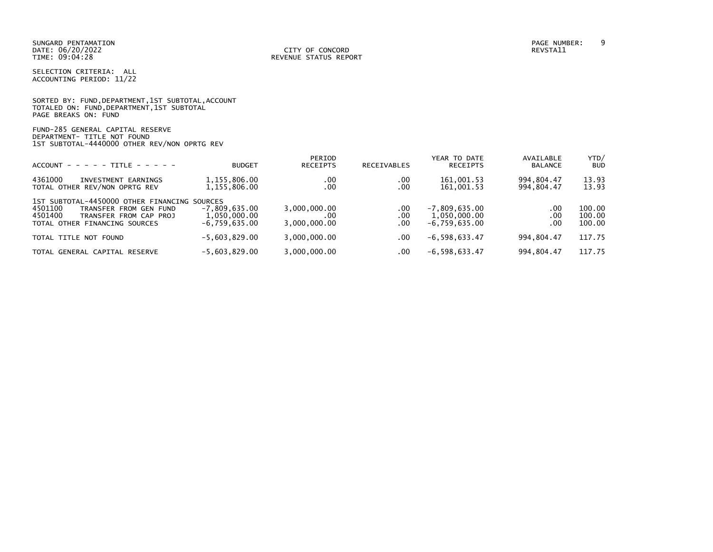SELECTION CRITERIA: ALL ACCOUNTING PERIOD: 11/22

|                      |  |  | SORTED BY: FUND, DEPARTMENT, 1ST SUBTOTAL, ACCOUNT |  |
|----------------------|--|--|----------------------------------------------------|--|
|                      |  |  | TOTALED ON: FUND, DEPARTMENT, 1ST SUBTOTAL         |  |
| PAGE BREAKS ON: FUND |  |  |                                                    |  |

FUND-285 GENERAL CAPITAL RESERVE DEPARTMENT- TITLE NOT FOUND 1ST SUBTOTAL-4440000 OTHER REV/NON OPRTG REV

| $ACCOUNT - - - - - TITE - - - - -$                                                                                                                      | <b>BUDGET</b>                                      | PERIOD<br>RECEIPTS                  | <b>RECEIVABLES</b>     | YEAR TO DATE<br><b>RECEIPTS</b>                    | AVAILABLE<br><b>BALANCE</b> | YTD/<br><b>BUD</b>         |
|---------------------------------------------------------------------------------------------------------------------------------------------------------|----------------------------------------------------|-------------------------------------|------------------------|----------------------------------------------------|-----------------------------|----------------------------|
| 4361000<br>INVESTMENT EARNINGS<br>TOTAL OTHER REV/NON OPRTG REV                                                                                         | 1,155,806.00<br>1,155,806.00                       | .00<br>.00                          | .00<br>.00             | 161,001.53<br>161,001.53                           | 994,804.47<br>994,804.47    | 13.93<br>13.93             |
| 1ST SUBTOTAL-4450000 OTHER FINANCING SOURCES<br>4501100<br>TRANSFER FROM GEN FUND<br>4501400<br>TRANSFER FROM CAP PROJ<br>TOTAL OTHER FINANCING SOURCES | $-7.809.635.00$<br>1,050,000.00<br>$-6.759.635.00$ | 3,000,000.00<br>.00<br>3,000,000.00 | .00<br>$.00 \,$<br>.00 | $-7,809,635.00$<br>1,050,000.00<br>$-6.759.635.00$ | $.00 \,$<br>.00<br>.00      | 100.00<br>100.00<br>100.00 |
| TOTAL TITLE NOT FOUND                                                                                                                                   | $-5,603,829.00$                                    | 3,000,000.00                        | .00                    | $-6, 598, 633.47$                                  | 994.804.47                  | 117.75                     |
| TOTAL GENERAL CAPITAL RESERVE                                                                                                                           | $-5.603.829.00$                                    | 3,000,000.00                        | .00                    | $-6, 598, 633.47$                                  | 994,804.47                  | 117.75                     |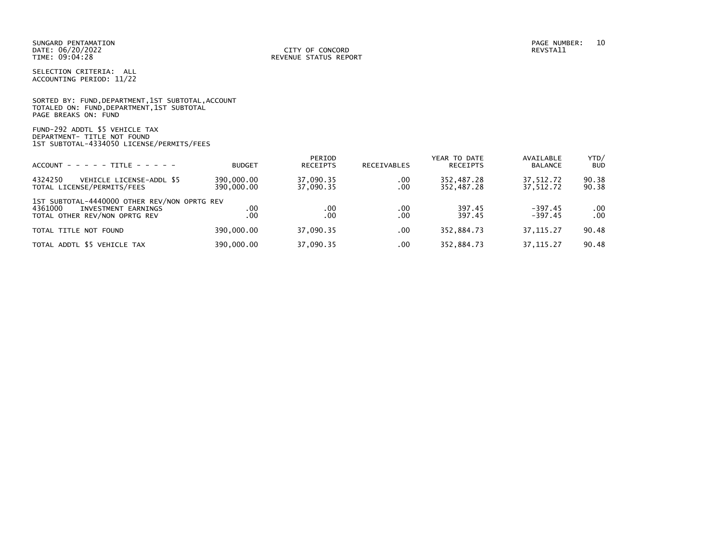SELECTION CRITERIA: ALL ACCOUNTING PERIOD: 11/22

|                      | SORTED BY: FUND, DEPARTMENT, 1ST SUBTOTAL, ACCOUNT |  |  |
|----------------------|----------------------------------------------------|--|--|
|                      | TOTALED ON: FUND, DEPARTMENT, 1ST SUBTOTAL         |  |  |
| PAGE BREAKS ON: FUND |                                                    |  |  |

FUND-292 ADDTL \$5 VEHICLE TAX DEPARTMENT- TITLE NOT FOUND 1ST SUBTOTAL-4334050 LICENSE/PERMITS/FEES

| $ACCOUNT - - - - - TITE - - - - -$                                                                              | <b>BUDGET</b>            | PERIOD<br><b>RECEIPTS</b> | <b>RECEIVABLES</b> | YEAR TO DATE<br><b>RECEIPTS</b> | AVAILABLE<br><b>BALANCE</b> | YTD/<br><b>BUD</b> |
|-----------------------------------------------------------------------------------------------------------------|--------------------------|---------------------------|--------------------|---------------------------------|-----------------------------|--------------------|
| 4324250<br>VEHICLE LICENSE-ADDL \$5<br>TOTAL LICENSE/PERMITS/FEES                                               | 390,000.00<br>390,000.00 | 37,090.35<br>37,090.35    | .00<br>.00         | 352,487.28<br>352,487.28        | 37,512.72<br>37.512.72      | 90.38<br>90.38     |
| 1ST SUBTOTAL-4440000 OTHER REV/NON OPRTG REV<br>4361000<br>INVESTMENT EARNINGS<br>TOTAL OTHER REV/NON OPRTG REV | .00<br>.00               | .00<br>.00                | .00<br>$.00 \,$    | 397.45<br>397.45                | $-397.45$<br>$-397.45$      | .00<br>.00         |
| TOTAL TITLE NOT FOUND                                                                                           | 390,000.00               | 37,090.35                 | .00                | 352,884.73                      | 37, 115.27                  | 90.48              |
| TOTAL ADDTL \$5 VEHICLE TAX                                                                                     | 390,000.00               | 37,090.35                 | $.00 \,$           | 352,884.73                      | 37, 115.27                  | 90.48              |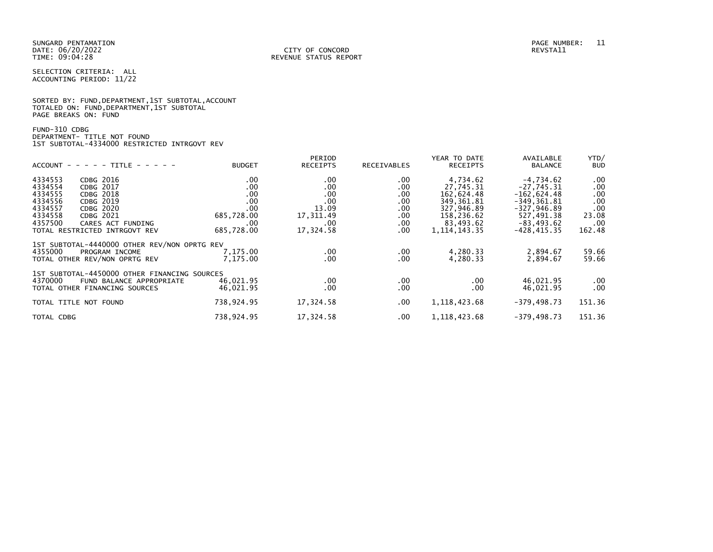|                      |  |  | SORTED BY: FUND, DEPARTMENT, 1ST SUBTOTAL, ACCOUNT |  |
|----------------------|--|--|----------------------------------------------------|--|
|                      |  |  | TOTALED ON: FUND, DEPARTMENT, 1ST SUBTOTAL         |  |
| PAGE BREAKS ON: FUND |  |  |                                                    |  |

# FUND-310 CDBG DEPARTMENT- TITLE NOT FOUND 1ST SUBTOTAL-4334000 RESTRICTED INTRGOVT REV

|                                              |               | PERIOD          |             | YEAR TO DATE    | AVAILABLE      | YTD/       |
|----------------------------------------------|---------------|-----------------|-------------|-----------------|----------------|------------|
| $ACCOUNT - - - - - TITLE - - - - -$          | <b>BUDGET</b> | <b>RECEIPTS</b> | RECEIVABLES | <b>RECEIPTS</b> | <b>BALANCE</b> | <b>BUD</b> |
| 4334553<br>CDBG 2016                         | .00           | .00             | .00         | 4,734.62        | $-4,734.62$    | .00        |
| 4334554<br>CDBG 2017                         | .00           | .00             | .00         | 27,745.31       | $-27.745.31$   | .00        |
| 4334555<br><b>CDBG 2018</b>                  | .00           | .00             | .00         | 162,624.48      | $-162,624.48$  | .00        |
| 4334556<br>CDBG 2019                         | .00           | .00             | .00         | 349,361.81      | $-349, 361.81$ | .00        |
| 4334557<br>CDBG 2020                         | .00           | 13.09           | .00         | 327,946.89      | $-327,946.89$  | .00        |
| 4334558<br>CDBG 2021                         | 685,728.00    | 17,311.49       | .00         | 158,236.62      | 527,491.38     | 23.08      |
| 4357500<br>CARES ACT FUNDING                 | .00.          | .00.            | .00.        | 83,493.62       | $-83, 493.62$  | .00        |
| TOTAL RESTRICTED INTRGOVT REV                | 685,728.00    | 17,324.58       | .00.        | 1, 114, 143, 35 | $-428, 415.35$ | 162.48     |
| 1ST SUBTOTAL-4440000 OTHER REV/NON OPRTG REV |               |                 |             |                 |                |            |
| 4355000<br>PROGRAM INCOME                    | 7,175.00      | .00             | .00         | 4,280.33        | 2,894.67       | 59.66      |
| TOTAL OTHER REV/NON OPRTG REV                | 7,175.00      | .00.            | .00         | 4,280.33        | 2,894.67       | 59.66      |
| 1ST SUBTOTAL-4450000 OTHER FINANCING SOURCES |               |                 |             |                 |                |            |
| 4370000<br>FUND BALANCE APPROPRIATE          | 46,021.95     | .00             | .00         | $.00 \,$        | 46,021.95      | .00        |
| TOTAL OTHER FINANCING SOURCES                | 46,021.95     | .00             | .00         | $.00 \,$        | 46,021.95      | .00        |
|                                              |               |                 |             |                 |                |            |
| TOTAL TITLE NOT FOUND                        | 738,924.95    | 17,324.58       | $.00 \,$    | 1, 118, 423.68  | $-379, 498.73$ | 151.36     |
| TOTAL CDBG                                   | 738,924.95    | 17,324.58       | $.00 \,$    | 1, 118, 423.68  | $-379, 498.73$ | 151.36     |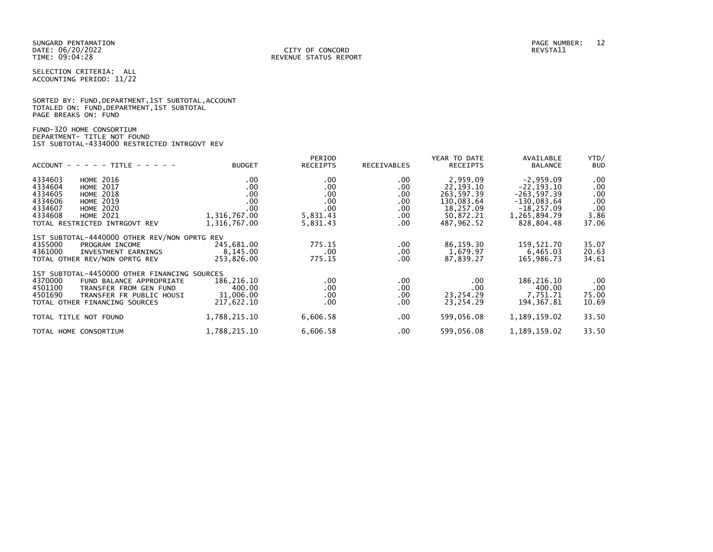|                      |  |  | SORTED BY: FUND, DEPARTMENT, 1ST SUBTOTAL, ACCOUNT |  |
|----------------------|--|--|----------------------------------------------------|--|
|                      |  |  | TOTALED ON: FUND, DEPARTMENT, 1ST SUBTOTAL         |  |
| PAGE BREAKS ON: FUND |  |  |                                                    |  |

# FUND-320 HOME CONSORTIUM DEPARTMENT- TITLE NOT FOUND 1ST SUBTOTAL-4334000 RESTRICTED INTRGOVT REV

| $ACCOUNT - - - - - TITE - - - - -$                                                                                                                                                                                      | <b>BUDGET</b>                                                    | PERIOD<br>RECEIPTS                                           | RECEIVABLES                                           | YEAR TO DATE<br><b>RECEIPTS</b>                                                             | AVAILABLE<br><b>BALANCE</b>                                                                                    | YTD/<br><b>BUD</b>                                    |
|-------------------------------------------------------------------------------------------------------------------------------------------------------------------------------------------------------------------------|------------------------------------------------------------------|--------------------------------------------------------------|-------------------------------------------------------|---------------------------------------------------------------------------------------------|----------------------------------------------------------------------------------------------------------------|-------------------------------------------------------|
| 4334603<br><b>HOME 2016</b><br>4334604<br><b>HOME 2017</b><br>4334605<br><b>HOME 2018</b><br>4334606<br><b>HOME 2019</b><br>4334607<br><b>HOME 2020</b><br>4334608<br><b>HOME 2021</b><br>TOTAL RESTRICTED INTRGOVT REV | .00.<br>.00<br>.00<br>.00<br>.00<br>1,316,767.00<br>1,316,767.00 | $.00 \,$<br>.00<br>.00<br>.00<br>.00<br>5,831.43<br>5,831.43 | .00.<br>.00<br>.00<br>.00<br>.00.<br>$.00 \,$<br>.00. | 2,959.09<br>22, 193. 10<br>263,597.39<br>130,083.64<br>18,257.09<br>50,872.21<br>487,962.52 | $-2,959.09$<br>$-22, 193.10$<br>$-263, 597.39$<br>$-130,083.64$<br>$-18, 257.09$<br>1,265,894.79<br>828,804.48 | $.00 \,$<br>.00<br>.00<br>.00<br>.00<br>3.86<br>37.06 |
| 1ST SUBTOTAL-4440000 OTHER REV/NON OPRTG REV<br>4355000<br>PROGRAM INCOME<br>4361000<br>INVESTMENT EARNINGS<br>TOTAL OTHER REV/NON OPRTG REV                                                                            | 245,681.00<br>8,145.00<br>253,826.00                             | 775.15<br>$.00 \,$<br>775.15                                 | $.00 \,$<br>$.00 \,$<br>.00.                          | 86,159.30<br>1,679.97<br>87,839.27                                                          | 159,521.70<br>6,465.03<br>165,986.73                                                                           | 35.07<br>20.63<br>34.61                               |
| 1ST SUBTOTAL-4450000 OTHER FINANCING SOURCES<br>4370000<br>FUND BALANCE APPROPRIATE<br>4501100<br>TRANSFER FROM GEN FUND<br>4501690<br>TRANSFER FR PUBLIC HOUSI<br>TOTAL OTHER FINANCING SOURCES                        | 186,216.10<br>400.00<br>31,006.00<br>217,622.10                  | $.00 \,$<br>.00<br>.00<br>.00                                | .00<br>.00.<br>.00<br>.00.                            | .00<br>.00<br>23,254.29<br>23,254.29                                                        | 186, 216.10<br>400.00<br>7.751.71<br>194,367.81                                                                | .00<br>.00<br>75.00<br>10.69                          |
| TOTAL TITLE NOT FOUND                                                                                                                                                                                                   | 1,788,215.10                                                     | 6,606.58                                                     | .00.                                                  | 599,056.08                                                                                  | 1,189,159.02                                                                                                   | 33.50                                                 |
| TOTAL HOME CONSORTIUM                                                                                                                                                                                                   | 1,788,215.10                                                     | 6,606.58                                                     | .00.                                                  | 599,056.08                                                                                  | 1,189,159.02                                                                                                   | 33.50                                                 |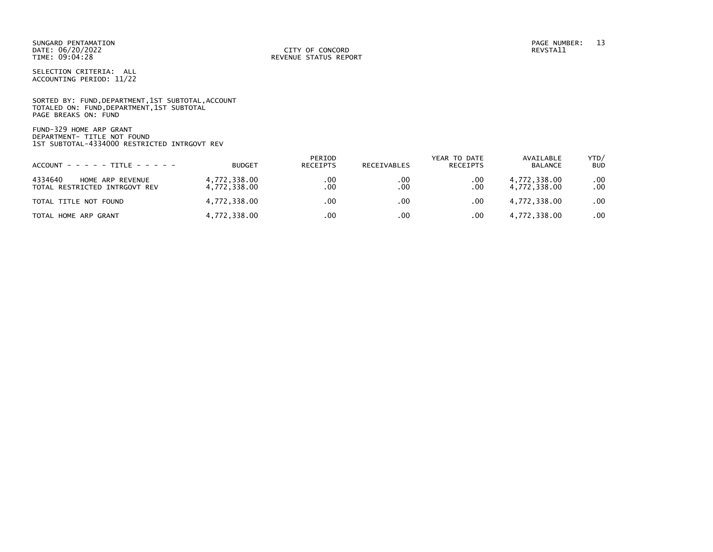SUNGARD PENTAMATION PAGE NUMBER: 13 DATE: 06/20/2022<br>TIME: 09:04:28

SELECTION CRITERIA: ALL ACCOUNTING PERIOD: 11/22

SORTED BY: FUND, DEPARTMENT, 1ST SUBTOTAL, ACCOUNT TOTALED ON: FUND,DEPARTMENT,1ST SUBTOTAL PAGE BREAKS ON: FUND

FUND-329 HOME ARP GRANT DEPARTMENT- TITLE NOT FOUND 1ST SUBTOTAL-4334000 RESTRICTED INTRGOVT REV

| $ACCOUNT - - - - - TITE - - - - -$                           | <b>BUDGET</b>                | PERIOD<br>RECEIPTS | RECEIVABLES | YEAR TO DATE<br>RECEIPTS | AVAILABLE<br>BALANCE         | YTD/<br><b>BUD</b> |
|--------------------------------------------------------------|------------------------------|--------------------|-------------|--------------------------|------------------------------|--------------------|
| 4334640<br>HOME ARP REVENUE<br>TOTAL RESTRICTED INTRGOVT REV | 4,772,338.00<br>4,772,338.00 | .00<br>.00         | .00<br>.00  | .00<br>.00               | 4,772,338.00<br>4,772,338.00 | .00<br>.00         |
| TOTAL TITLE NOT FOUND                                        | 4,772,338.00                 | .00                | .00         | $.00 \,$                 | 4,772,338.00                 | .00                |
| TOTAL HOME ARP GRANT                                         | 4,772,338.00                 | .00                | .00         | .00                      | 4,772,338.00                 | .00                |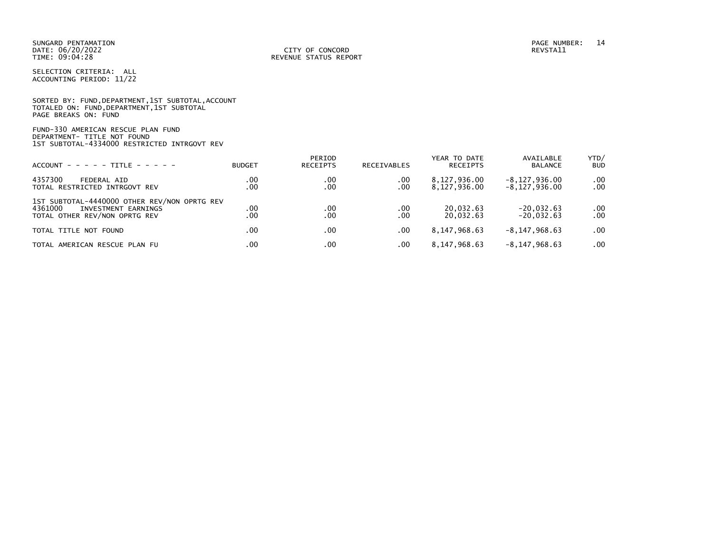|                      | SORTED BY: FUND, DEPARTMENT, 1ST SUBTOTAL, ACCOUNT |  |  |
|----------------------|----------------------------------------------------|--|--|
|                      | TOTALED ON: FUND, DEPARTMENT, 1ST SUBTOTAL         |  |  |
| PAGE BREAKS ON: FUND |                                                    |  |  |

# FUND-330 AMERICAN RESCUE PLAN FUND DEPARTMENT- TITLE NOT FOUND 1ST SUBTOTAL-4334000 RESTRICTED INTRGOVT REV

| $ACCOUNT - - - - - TITE - - - - -$                                                                              | <b>BUDGET</b> | PERIOD<br><b>RECEIPTS</b> | <b>RECEIVABLES</b> | YEAR TO DATE<br>RECEIPTS     | AVAILABLE<br><b>BALANCE</b>        | YTD/<br><b>BUD</b>   |
|-----------------------------------------------------------------------------------------------------------------|---------------|---------------------------|--------------------|------------------------------|------------------------------------|----------------------|
| 4357300<br>FEDERAL AID<br>TOTAL RESTRICTED INTRGOVT REV                                                         | .00<br>.00    | .00<br>.00                | .00<br>.00         | 8,127,936.00<br>8,127,936.00 | $-8,127,936.00$<br>$-8,127,936.00$ | $.00 \,$<br>$.00 \,$ |
| 1ST SUBTOTAL-4440000 OTHER REV/NON OPRTG REV<br>4361000<br>INVESTMENT EARNINGS<br>TOTAL OTHER REV/NON OPRTG REV | .00<br>.00    | .00<br>.00                | .00<br>.00         | 20.032.63<br>20.032.63       | $-20,032.63$<br>$-20.032.63$       | $.00 \,$<br>.00      |
| TOTAL TITLE NOT FOUND                                                                                           | $.00 \,$      | .00                       | .00                | 8,147,968.63                 | $-8, 147, 968.63$                  | $.00 \cdot$          |
| TOTAL AMERICAN RESCUE PLAN FU                                                                                   | $.00 \,$      | .00                       | .00                | 8,147,968.63                 | $-8, 147, 968.63$                  | $.00 \,$             |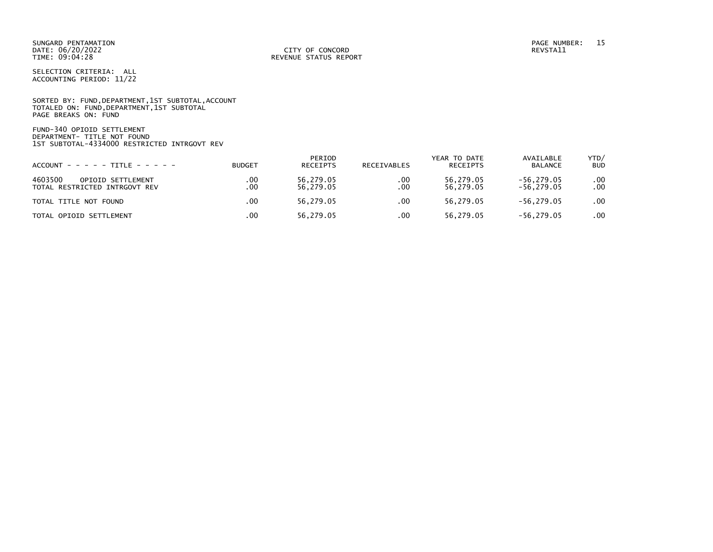SORTED BY: FUND, DEPARTMENT, 1ST SUBTOTAL, ACCOUNT TOTALED ON: FUND,DEPARTMENT,1ST SUBTOTAL PAGE BREAKS ON: FUND

FUND-340 OPIOID SETTLEMENT DEPARTMENT- TITLE NOT FOUND 1ST SUBTOTAL-4334000 RESTRICTED INTRGOVT REV

| $ACCOUNT - - - - - TITE - - - - -$  | <b>BUDGET</b> | PERIOD<br>RECEIPTS | RECEIVABLES | YEAR TO DATE<br>RECEIPTS | AVAILABLE<br><b>BALANCE</b> | YTD/<br><b>BUD</b> |
|-------------------------------------|---------------|--------------------|-------------|--------------------------|-----------------------------|--------------------|
| 4603500<br><b>OPIOID SETTLEMENT</b> | .00           | 56.279.05          | .00         | 56,279.05                | $-56, 279.05$               | .00.               |
| TOTAL RESTRICTED INTRGOVT REV       | .00           | 56.279.05          | .00         | 56.279.05                | $-56.279.05$                | .00                |
| TOTAL TITLE NOT FOUND               | .00           | 56.279.05          | .00.        | 56.279.05                | $-56.279.05$                | .00                |
| TOTAL OPIOID SETTLEMENT             | .00           | 56.279.05          | .00         | 56.279.05                | $-56.279.05$                | .00                |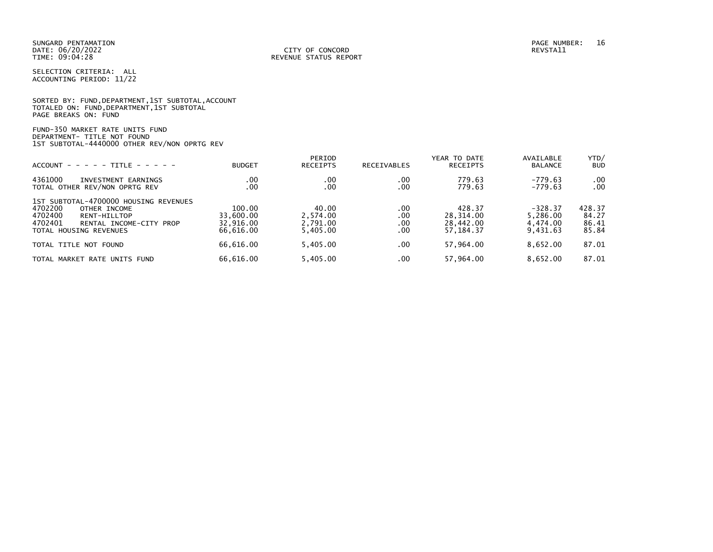|                      | SORTED BY: FUND, DEPARTMENT, 1ST SUBTOTAL, ACCOUNT |  |
|----------------------|----------------------------------------------------|--|
|                      | TOTALED ON: FUND,DEPARTMENT,1ST SUBTOTAL           |  |
| PAGE BREAKS ON: FUND |                                                    |  |

FUND-350 MARKET RATE UNITS FUND DEPARTMENT- TITLE NOT FOUND 1ST SUBTOTAL-4440000 OTHER REV/NON OPRTG REV

| $ACCOUNT - - - - - TITE - - - - -$                                                                                                                          | <b>BUDGET</b>                                 | PERIOD<br><b>RECEIPTS</b>                 | RECEIVABLES              | YEAR TO DATE<br>RECEIPTS                      | AVAILABLE<br><b>BALANCE</b>                   | YTD/<br><b>BUD</b>                |
|-------------------------------------------------------------------------------------------------------------------------------------------------------------|-----------------------------------------------|-------------------------------------------|--------------------------|-----------------------------------------------|-----------------------------------------------|-----------------------------------|
| 4361000<br>INVESTMENT EARNINGS<br>TOTAL OTHER REV/NON OPRTG REV                                                                                             | .00<br>.00                                    | .00<br>.00                                | .00<br>.00               | 779.63<br>779.63                              | $-779.63$<br>$-779.63$                        | .00<br>.00                        |
| 1ST SUBTOTAL-4700000 HOUSING REVENUES<br>4702200<br>OTHER INCOME<br>4702400<br>RENT-HILLTOP<br>4702401<br>RENTAL INCOME-CITY PROP<br>TOTAL HOUSING REVENUES | 100.00<br>33,600.00<br>32.916.00<br>66.616.00 | 40.00<br>2.574.00<br>2,791.00<br>5.405.00 | .00<br>.00<br>.00<br>.00 | 428.37<br>28.314.00<br>28,442.00<br>57.184.37 | $-328.37$<br>5.286.00<br>4.474.00<br>9.431.63 | 428.37<br>84.27<br>86.41<br>85.84 |
| TOTAL TITLE NOT FOUND                                                                                                                                       | 66.616.00                                     | 5.405.00                                  | .00                      | 57.964.00                                     | 8,652.00                                      | 87.01                             |
| TOTAL MARKET<br>RATE UNITS FUND                                                                                                                             | 66.616.00                                     | 5.405.00                                  | .00                      | 57.964.00                                     | 8.652.00                                      | 87.01                             |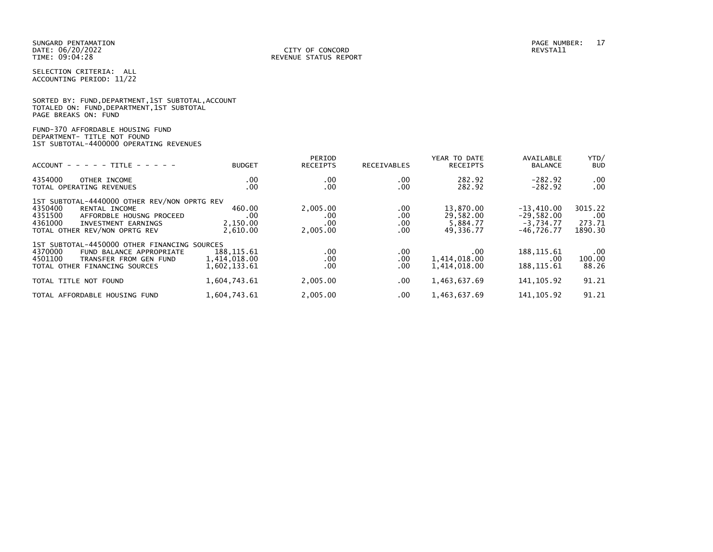PAGE BREAKS ON: FUND

SELECTION CRITERIA: ALL ACCOUNTING PERIOD: 11/22

SORTED BY: FUND,DEPARTMENT,1ST SUBTOTAL,ACCOUNT TOTALED ON: FUND,DEPARTMENT,1ST SUBTOTAL

| FUND-370 AFFORDABLE HOUSING FUND<br>DEPARTMENT- TITLE NOT FOUND<br>1ST SUBTOTAL-4400000 OPERATING REVENUES                                                                         |                                             |                                    |                                 |                                                 |                                                             |                                     |
|------------------------------------------------------------------------------------------------------------------------------------------------------------------------------------|---------------------------------------------|------------------------------------|---------------------------------|-------------------------------------------------|-------------------------------------------------------------|-------------------------------------|
| $ACCOUNT - - - - + + TITE - - - - - -$                                                                                                                                             | <b>BUDGET</b>                               | PERIOD<br><b>RECEIPTS</b>          | RECEIVABLES                     | YEAR TO DATE<br><b>RECEIPTS</b>                 | AVAILABLE<br><b>BALANCE</b>                                 | YTD/<br><b>BUD</b>                  |
| 4354000<br>OTHER INCOME<br>TOTAL OPERATING REVENUES                                                                                                                                | .00.<br>.00                                 | .00<br>.00                         | $.00 \,$<br>.00                 | 282.92<br>282.92                                | $-282.92$<br>$-282.92$                                      | .00<br>.00                          |
| 1ST SUBTOTAL-4440000 OTHER REV/NON OPRTG REV<br>4350400<br>RENTAL INCOME<br>4351500<br>AFFORDBLE HOUSNG PROCEED<br>4361000<br>INVESTMENT EARNINGS<br>TOTAL OTHER REV/NON OPRTG REV | 460.00<br>.00<br>2,150.00<br>2,610.00       | 2,005.00<br>.00<br>.00<br>2,005.00 | .00.<br>.00.<br>$.00 \,$<br>.00 | 13,870.00<br>29,582.00<br>5,884.77<br>49,336.77 | $-13,410.00$<br>$-29,582.00$<br>$-3,734.77$<br>$-46,726.77$ | 3015.22<br>.00<br>273.71<br>1890.30 |
| 1ST SUBTOTAL-4450000 OTHER FINANCING SOURCES<br>4370000<br>FUND BALANCE APPROPRIATE<br>4501100<br>TRANSFER FROM GEN FUND<br>TOTAL OTHER FINANCING SOURCES                          | 188, 115.61<br>1,414,018.00<br>1,602,133.61 | .00<br>.00<br>.00                  | .00.<br>.00.<br>.00             | .00.<br>1,414,018.00<br>1,414,018.00            | 188, 115.61<br>$.00 \cdot$<br>188, 115.61                   | .00<br>100.00<br>88.26              |
| TOTAL TITLE NOT FOUND                                                                                                                                                              | 1,604,743.61                                | 2,005.00                           | .00                             | 1,463,637.69                                    | 141, 105.92                                                 | 91.21                               |
| TOTAL AFFORDABLE HOUSING FUND                                                                                                                                                      | 1,604,743.61                                | 2,005.00                           | .00.                            | 1,463,637.69                                    | 141, 105.92                                                 | 91.21                               |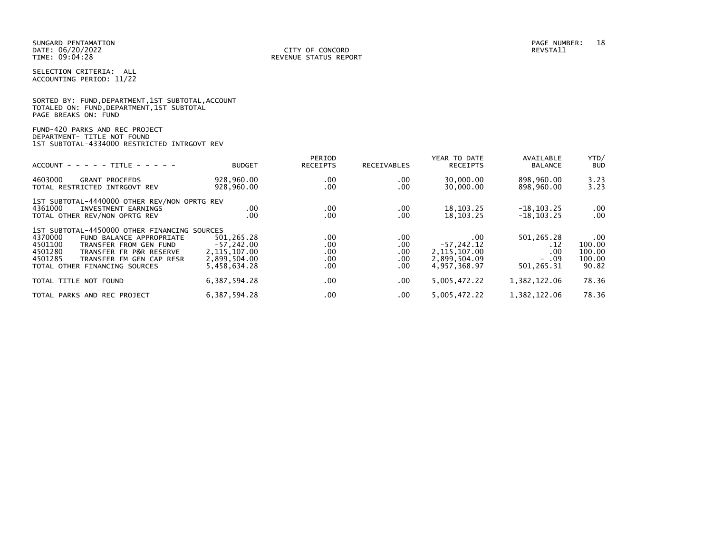|                      |  |  | SORTED BY: FUND, DEPARTMENT, 1ST SUBTOTAL, ACCOUNT |  |
|----------------------|--|--|----------------------------------------------------|--|
|                      |  |  | TOTALED ON: FUND,DEPARTMENT,1ST SUBTOTAL           |  |
| PAGE BREAKS ON: FUND |  |  |                                                    |  |

# FUND-420 PARKS AND REC PROJECT DEPARTMENT- TITLE NOT FOUND 1ST SUBTOTAL-4334000 RESTRICTED INTRGOVT REV

| $ACCOUNT - - - - TITLE - - - - -$                                                                                                                                                                                                      | <b>BUDGET</b>                                                                | PERIOD<br><b>RECEIPTS</b>         | <b>RECEIVABLES</b>                   | YEAR TO DATE<br><b>RECEIPTS</b>                                        | AVAILABLE<br><b>BALANCE</b>                       | YTD/<br><b>BUD</b>                              |
|----------------------------------------------------------------------------------------------------------------------------------------------------------------------------------------------------------------------------------------|------------------------------------------------------------------------------|-----------------------------------|--------------------------------------|------------------------------------------------------------------------|---------------------------------------------------|-------------------------------------------------|
| 4603000<br><b>GRANT PROCEEDS</b><br>TOTAL RESTRICTED INTRGOVT REV                                                                                                                                                                      | 928,960.00<br>928,960.00                                                     | .00<br>.00                        | .00<br>.00                           | 30,000.00<br>30,000.00                                                 | 898,960.00<br>898,960.00                          | 3.23<br>3.23                                    |
| 1ST SUBTOTAL-4440000 OTHER REV/NON OPRTG REV<br>4361000<br>INVESTMENT EARNINGS<br>TOTAL OTHER REV/NON OPRTG REV                                                                                                                        | .00<br>$.00 \,$                                                              | .00<br>.00                        | .00<br>.00                           | 18, 103. 25<br>18, 103. 25                                             | $-18, 103.25$<br>$-18, 103.25$                    | $.00 \,$<br>.00                                 |
| 1ST SUBTOTAL-4450000 OTHER FINANCING SOURCES<br>4370000<br>FUND BALANCE APPROPRIATE<br>4501100<br>TRANSFER FROM GEN FUND<br>4501280<br>TRANSFER FR P&R RESERVE<br>4501285<br>TRANSFER FM GEN CAP RESR<br>TOTAL OTHER FINANCING SOURCES | 501.265.28<br>$-57,242.00$<br>2, 115, 107.00<br>2,899,504.00<br>5,458,634.28 | .00<br>.00<br>.00.<br>.00<br>.00. | .00<br>.00<br>.00<br>$.00 \,$<br>.00 | .00<br>$-57, 242.12$<br>2, 115, 107.00<br>2,899,504.09<br>4.957.368.97 | 501,265.28<br>.12<br>.00<br>$-0.09$<br>501,265.31 | $.00 \,$<br>100.00<br>100.00<br>100.00<br>90.82 |
| TOTAL TITLE NOT FOUND                                                                                                                                                                                                                  | 6, 387, 594. 28                                                              | .00                               | .00.                                 | 5,005,472.22                                                           | 1,382,122.06                                      | 78.36                                           |
| TOTAL PARKS AND REC PROJECT                                                                                                                                                                                                            | 6, 387, 594. 28                                                              | .00                               | .00                                  | 5,005,472.22                                                           | 1,382,122.06                                      | 78.36                                           |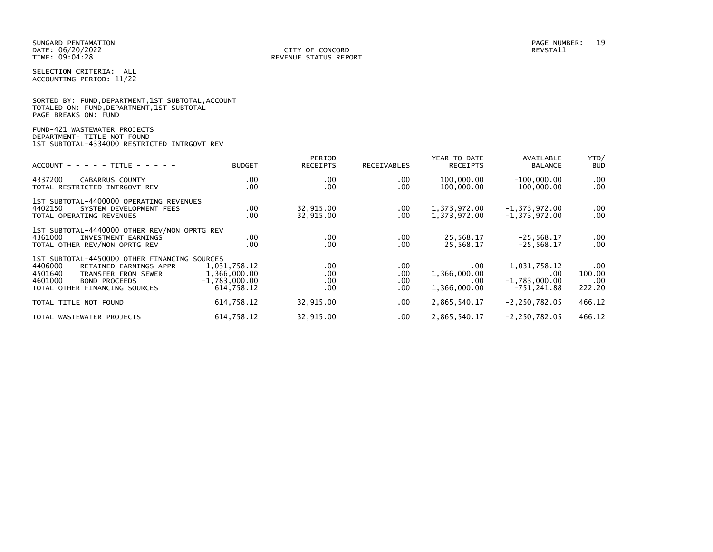|                      |  |  | SORTED BY: FUND, DEPARTMENT, 1ST SUBTOTAL, ACCOUNT |  |
|----------------------|--|--|----------------------------------------------------|--|
|                      |  |  | TOTALED ON: FUND,DEPARTMENT,1ST SUBTOTAL           |  |
| PAGE BREAKS ON: FUND |  |  |                                                    |  |

# FUND-421 WASTEWATER PROJECTS DEPARTMENT- TITLE NOT FOUND 1ST SUBTOTAL-4334000 RESTRICTED INTRGOVT REV

| $ACCOUNT - - - - - TITLE - - - - -$                                                                                                                                                     | <b>BUDGET</b>                                                 | PERIOD<br><b>RECEIPTS</b>                    | <b>RECEIVABLES</b>             | YEAR TO DATE<br><b>RECEIPTS</b>             | AVAILABLE<br><b>BALANCE</b>                             | YTD/<br><b>BUD</b>                  |
|-----------------------------------------------------------------------------------------------------------------------------------------------------------------------------------------|---------------------------------------------------------------|----------------------------------------------|--------------------------------|---------------------------------------------|---------------------------------------------------------|-------------------------------------|
| 4337200<br><b>CABARRUS COUNTY</b><br>TOTAL RESTRICTED INTRGOVT REV                                                                                                                      | .00<br>.00                                                    | $.00 \,$<br>$.00 \,$                         | $.00 \,$<br>.00                | 100,000.00<br>100,000.00                    | $-100,000.00$<br>$-100,000.00$                          | $.00 \,$<br>$.00 \,$                |
| 1ST SUBTOTAL-4400000 OPERATING REVENUES<br>4402150<br>SYSTEM DEVELOPMENT FEES<br>TOTAL OPERATING REVENUES                                                                               | $.00 \,$<br>.00                                               | 32,915.00<br>32,915.00                       | $.00 \,$<br>.00                | 1,373,972.00<br>1,373,972.00                | $-1, 373, 972.00$<br>$-1, 373, 972.00$                  | $.00 \,$<br>$.00 \,$                |
| 1ST SUBTOTAL-4440000 OTHER REV/NON OPRTG REV<br>4361000<br>INVESTMENT EARNINGS<br>TOTAL OTHER REV/NON OPRTG REV                                                                         | .00<br>.00                                                    | $.00 \,$<br>$.00 \,$                         | $.00 \,$<br>.00                | 25,568.17<br>25,568.17                      | $-25,568.17$<br>$-25.568.17$                            | $.00 \,$<br>$.00 \,$                |
| 1ST SUBTOTAL-4450000 OTHER FINANCING SOURCES<br>4406000<br>RETAINED EARNINGS APPR<br>4501640<br>TRANSFER FROM SEWER<br>4601000<br><b>BOND PROCEEDS</b><br>TOTAL OTHER FINANCING SOURCES | 1,031,758.12<br>1,366,000.00<br>$-1,783,000.00$<br>614.758.12 | $.00 \,$<br>$.00 \,$<br>$.00 \,$<br>$.00 \,$ | .00.<br>.00<br>.00<br>$.00 \,$ | .00.<br>1,366,000.00<br>.00<br>1,366,000.00 | 1,031,758.12<br>.00<br>$-1,783,000.00$<br>$-751.241.88$ | $.00 \,$<br>100.00<br>.00<br>222.20 |
| TOTAL TITLE NOT FOUND                                                                                                                                                                   | 614,758.12                                                    | 32,915.00                                    | $.00 \,$                       | 2,865,540.17                                | $-2, 250, 782.05$                                       | 466.12                              |
| TOTAL WASTEWATER PROJECTS                                                                                                                                                               | 614,758.12                                                    | 32,915.00                                    | $.00 \,$                       | 2,865,540.17                                | $-2, 250, 782.05$                                       | 466.12                              |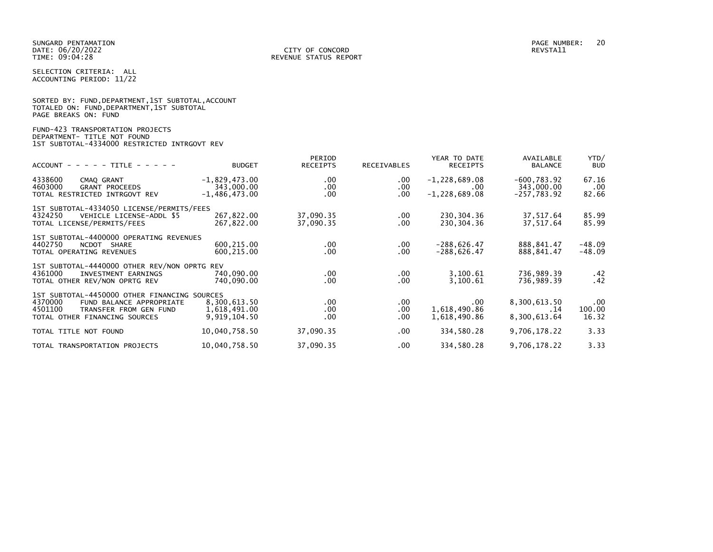SELECTION CRITERIA: ALL ACCOUNTING PERIOD: 11/22

|                      |  |  | SORTED BY: FUND, DEPARTMENT, 1ST SUBTOTAL, ACCOUNT |  |
|----------------------|--|--|----------------------------------------------------|--|
|                      |  |  | TOTALED ON: FUND,DEPARTMENT,1ST SUBTOTAL           |  |
| PAGE BREAKS ON: FUND |  |  |                                                    |  |

# FUND-423 TRANSPORTATION PROJECTS DEPARTMENT- TITLE NOT FOUND 1ST SUBTOTAL-4334000 RESTRICTED INTRGOVT REV

| $ACCOUNT$ - - - - TITLE - - - -                                                                                                                           | <b>BUDGET</b>                                    | PERIOD<br><b>RECEIPTS</b>        | <b>RECEIVABLES</b>      | YEAR TO DATE<br><b>RECEIPTS</b>                  | AVAILABLE<br><b>BALANCE</b>                   | YTD/<br><b>BUD</b>          |
|-----------------------------------------------------------------------------------------------------------------------------------------------------------|--------------------------------------------------|----------------------------------|-------------------------|--------------------------------------------------|-----------------------------------------------|-----------------------------|
| 4338600<br>CMAQ GRANT<br>4603000<br><b>GRANT PROCEEDS</b><br>TOTAL RESTRICTED INTRGOVT REV                                                                | $-1,829,473.00$<br>343,000.00<br>$-1,486,473.00$ | $.00 \,$<br>$.00 \,$<br>$.00 \,$ | .00<br>.00<br>.00       | $-1,228,689.08$<br>$.00 \,$<br>$-1, 228, 689.08$ | $-600, 783.92$<br>343,000.00<br>$-257,783.92$ | 67.16<br>$.00 \,$<br>82.66  |
| 1ST SUBTOTAL-4334050 LICENSE/PERMITS/FEES<br>VEHICLE LICENSE-ADDL \$5<br>4324250<br>TOTAL LICENSE/PERMITS/FEES                                            | 267,822.00<br>267,822.00                         | 37,090.35<br>37,090.35           | $.00 \,$<br>.00.        | 230, 304, 36<br>230,304.36                       | 37,517.64<br>37,517.64                        | 85.99<br>85.99              |
| 1ST SUBTOTAL-4400000 OPERATING REVENUES<br>4402750<br>NCDOT SHARE<br>TOTAL OPERATING REVENUES                                                             | 600,215.00<br>600,215.00                         | $.00 \,$<br>.00.                 | $.00 \,$<br>.00         | $-288,626.47$<br>$-288,626.47$                   | 888,841.47<br>888,841.47                      | -48.09<br>$-48.09$          |
| 1ST SUBTOTAL-4440000 OTHER REV/NON OPRTG REV<br>4361000<br>INVESTMENT EARNINGS<br>TOTAL OTHER REV/NON OPRTG REV                                           | 740,090.00<br>740,090.00                         | $.00 \,$<br>$.00 \,$             | $.00 \,$<br>.00.        | 3,100.61<br>3,100.61                             | 736,989.39<br>736,989.39                      | .42<br>.42                  |
| 1ST SUBTOTAL-4450000 OTHER FINANCING SOURCES<br>4370000<br>FUND BALANCE APPROPRIATE<br>4501100<br>TRANSFER FROM GEN FUND<br>TOTAL OTHER FINANCING SOURCES | 8,300,613.50<br>1,618,491.00<br>9,919,104.50     | $.00 \,$<br>.00.<br>.00.         | $.00 \,$<br>.00<br>.00. | .00<br>1,618,490.86<br>1,618,490.86              | 8,300,613.50<br>. 14<br>8,300,613.64          | $.00 \,$<br>100.00<br>16.32 |
| TOTAL TITLE NOT FOUND                                                                                                                                     | 10,040,758.50                                    | 37,090.35                        | .00.                    | 334,580.28                                       | 9,706,178.22                                  | 3.33                        |
| TOTAL TRANSPORTATION PROJECTS                                                                                                                             | 10,040,758.50                                    | 37,090.35                        | .00.                    | 334,580.28                                       | 9,706,178.22                                  | 3.33                        |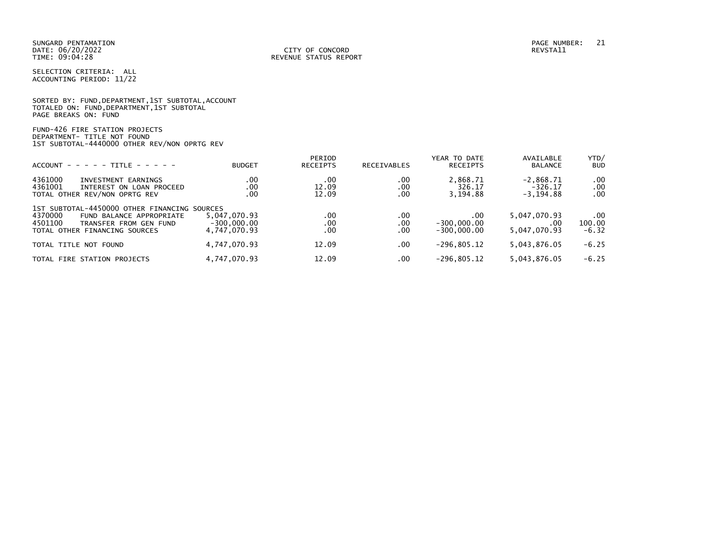|                      |  |  | SORTED BY: FUND, DEPARTMENT, 1ST SUBTOTAL, ACCOUNT |  |
|----------------------|--|--|----------------------------------------------------|--|
|                      |  |  | TOTALED ON: FUND,DEPARTMENT,1ST SUBTOTAL           |  |
| PAGE BREAKS ON: FUND |  |  |                                                    |  |

FUND-426 FIRE STATION PROJECTS DEPARTMENT- TITLE NOT FOUND 1ST SUBTOTAL-4440000 OTHER REV/NON OPRTG REV

| $ACCOUNT - - - - - TITE - - - - -$                                                                                                                        | <b>BUDGET</b>                                 | PERIOD<br><b>RECEIPTS</b> | <b>RECEIVABLES</b> | YEAR TO DATE<br><b>RECEIPTS</b>       | AVAILABLE<br><b>BALANCE</b>              | YTD/<br><b>BUD</b>       |
|-----------------------------------------------------------------------------------------------------------------------------------------------------------|-----------------------------------------------|---------------------------|--------------------|---------------------------------------|------------------------------------------|--------------------------|
| 4361000<br>INVESTMENT EARNINGS<br>4361001<br>INTEREST ON LOAN PROCEED<br>TOTAL OTHER REV/NON OPRTG REV                                                    | .00<br>.00<br>.00                             | .00<br>12.09<br>12.09     | .00<br>.00<br>.00  | 2,868.71<br>326.17<br>3,194.88        | $-2,868.71$<br>$-326.17$<br>$-3, 194.88$ | .00<br>.00<br>.00        |
| 1ST SUBTOTAL-4450000 OTHER FINANCING SOURCES<br>4370000<br>FUND BALANCE APPROPRIATE<br>4501100<br>TRANSFER FROM GEN FUND<br>TOTAL OTHER FINANCING SOURCES | 5,047,070.93<br>$-300.000.00$<br>4.747.070.93 | .00<br>.00<br>.00         | .00<br>.00<br>.00  | .00<br>$-300,000.00$<br>$-300.000.00$ | 5,047,070.93<br>.00.<br>5,047,070.93     | .00<br>100.00<br>$-6.32$ |
| TOTAL TITLE NOT FOUND                                                                                                                                     | 4,747,070.93                                  | 12.09                     | .00                | $-296, 805.12$                        | 5,043,876.05                             | $-6.25$                  |
| TOTAL FIRE STATION PROJECTS                                                                                                                               | 4,747,070.93                                  | 12.09                     | .00                | $-296.805.12$                         | 5,043,876.05                             | $-6.25$                  |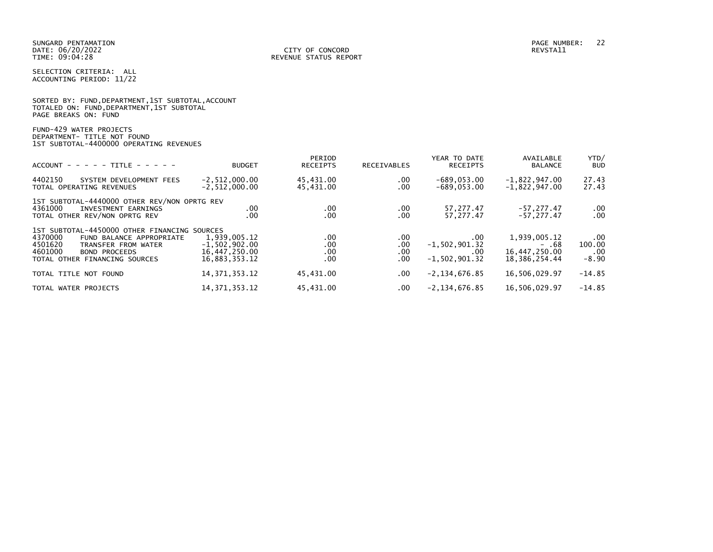|                      |                                          | SORTED BY: FUND, DEPARTMENT, 1ST SUBTOTAL, ACCOUNT |
|----------------------|------------------------------------------|----------------------------------------------------|
|                      | TOTALED ON: FUND,DEPARTMENT,1ST SUBTOTAL |                                                    |
| PAGE BREAKS ON: FUND |                                          |                                                    |

FUND-429 WATER PROJECTS DEPARTMENT- TITLE NOT FOUND 1ST SUBTOTAL-4400000 OPERATING REVENUES

| $ACCOUNT - - - - + TITE - - - - -$                                                                                                                                                        | <b>BUDGET</b>                                                     | PERIOD<br><b>RECEIPTS</b> | <b>RECEIVABLES</b>         | YEAR TO DATE<br><b>RECEIPTS</b>                    | AVAILABLE<br><b>BALANCE</b>                                | YTD/<br><b>BUD</b>                          |
|-------------------------------------------------------------------------------------------------------------------------------------------------------------------------------------------|-------------------------------------------------------------------|---------------------------|----------------------------|----------------------------------------------------|------------------------------------------------------------|---------------------------------------------|
| 4402150<br>SYSTEM DEVELOPMENT FEES<br>TOTAL OPERATING REVENUES                                                                                                                            | $-2, 512, 000.00$<br>$-2, 512, 000.00$                            | 45,431.00<br>45,431.00    | .00.<br>.00                | $-689,053.00$<br>$-689,053.00$                     | $-1,822,947.00$<br>$-1,822,947.00$                         | 27.43<br>27.43                              |
| 1ST SUBTOTAL-4440000 OTHER REV/NON OPRTG REV<br>4361000<br>INVESTMENT EARNINGS<br>TOTAL OTHER REV/NON OPRTG REV                                                                           | .00<br>.00                                                        | .00<br>.00                | $.00 \,$<br>.00            | 57,277.47<br>57,277.47                             | $-57, 277, 47$<br>$-57.277.47$                             | $\begin{array}{c} 0.00 \\ -0.0 \end{array}$ |
| 1ST SUBTOTAL-4450000 OTHER FINANCING SOURCES<br>4370000<br>FUND BALANCE APPROPRIATE<br>4501620<br>TRANSFER FROM WATER<br>4601000<br><b>BOND PROCEEDS</b><br>TOTAL OTHER FINANCING SOURCES | 1,939,005.12<br>$-1,502,902.00$<br>16,447,250.00<br>16,883,353.12 | .00<br>.00<br>.00<br>.00  | .00.<br>.00<br>.00.<br>.00 | .00<br>$-1,502,901.32$<br>.00<br>$-1, 502, 901.32$ | 1,939,005.12<br>- .68<br>16,447,250.00<br>18, 386, 254, 44 | .00<br>100.00<br>.00<br>$-8.90$             |
| TOTAL TITLE NOT FOUND                                                                                                                                                                     | 14, 371, 353. 12                                                  | 45,431.00                 | .00                        | $-2, 134, 676.85$                                  | 16,506,029.97                                              | $-14.85$                                    |
| TOTAL WATER PROJECTS                                                                                                                                                                      | 14, 371, 353. 12                                                  | 45,431.00                 | .00                        | $-2, 134, 676.85$                                  | 16,506,029.97                                              | $-14.85$                                    |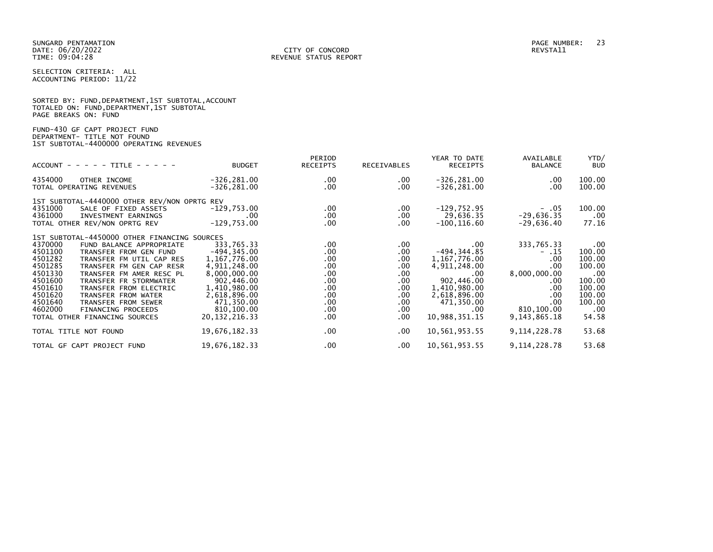| SORTED BY: FUND, DEPARTMENT, 1ST SUBTOTAL, ACCOUNT |  |
|----------------------------------------------------|--|
| TOTALED ON: FUND,DEPARTMENT,1ST SUBTOTAL           |  |
| PAGE BREAKS ON: FUND                               |  |

FUND-430 GF CAPT PROJECT FUND DEPARTMENT- TITLE NOT FOUND 1ST SUBTOTAL-4400000 OPERATING REVENUES

| $ACCOUNT - - - - + TITE - - - - -$                                                                                                                                                                                                                                                                                                                                                                                                                            | <b>BUDGET</b>                                                                                                                                                              | PERIOD<br><b>RECEIPTS</b>                                                                                              | RECEIVABLES                                                                                                              | YEAR TO DATE<br><b>RECEIPTS</b>                                                                                                                       | AVAILABLE<br><b>BALANCE</b>                                                                                        | YTD/<br><b>BUD</b>                                                                                    |
|---------------------------------------------------------------------------------------------------------------------------------------------------------------------------------------------------------------------------------------------------------------------------------------------------------------------------------------------------------------------------------------------------------------------------------------------------------------|----------------------------------------------------------------------------------------------------------------------------------------------------------------------------|------------------------------------------------------------------------------------------------------------------------|--------------------------------------------------------------------------------------------------------------------------|-------------------------------------------------------------------------------------------------------------------------------------------------------|--------------------------------------------------------------------------------------------------------------------|-------------------------------------------------------------------------------------------------------|
| 4354000<br>OTHER INCOME<br>TOTAL OPERATING REVENUES                                                                                                                                                                                                                                                                                                                                                                                                           | $-326, 281.00$<br>$-326, 281.00$                                                                                                                                           | $.00 \,$<br>$.00 \,$                                                                                                   | .00.<br>$.00 \,$                                                                                                         | $-326, 281.00$<br>$-326, 281.00$                                                                                                                      | $.00 \,$<br>.00                                                                                                    | 100.00<br>100.00                                                                                      |
| 1ST SUBTOTAL-4440000 OTHER REV/NON OPRTG REV<br>4351000<br>SALE OF FIXED ASSETS<br>4361000<br>INVESTMENT EARNINGS<br>TOTAL OTHER REV/NON OPRTG REV                                                                                                                                                                                                                                                                                                            | $-129,753.00$<br>.00.<br>$-129,753.00$                                                                                                                                     | $.00 \,$<br>$.00 \,$<br>$.00 \,$                                                                                       | .00.<br>.00.<br>.00.                                                                                                     | $-129,752.95$<br>29,636.35<br>$-100, 116.60$                                                                                                          | $- .05$<br>$-29,636.35$<br>-29,636.40                                                                              | 100.00<br>$.00 \,$<br>77.16                                                                           |
| 1ST SUBTOTAL-4450000 OTHER FINANCING SOURCES<br>4370000<br>FUND BALANCE APPROPRIATE<br>4501100<br>TRANSFER FROM GEN FUND<br>4501282<br>TRANSFER FM UTIL CAP RES<br>4501285<br>TRANSFER FM GEN CAP RESR<br>4501330<br>TRANSFER FM AMER RESC PL<br>4501600<br>TRANSFER FR STORMWATER<br>4501610<br>TRANSFER FROM ELECTRIC<br>4501620<br>TRANSFER FROM WATER<br>4501640<br>TRANSFER FROM SEWER<br>4602000<br>FINANCING PROCEEDS<br>TOTAL OTHER FINANCING SOURCES | 333,765.33<br>$-494, 345.00$<br>1,167,776.00<br>4,911,248.00<br>8,000,000.00<br>902,446.00<br>1,410,980.00<br>2,618,896.00<br>471,350.00<br>810,100.00<br>20, 132, 216, 33 | $.00 \,$<br>$.00 \,$<br>$.00 \,$<br>$.00 \,$<br>$.00 \,$<br>$.00 \,$<br>.00<br>$.00 \,$<br>$.00 \,$<br>.00<br>$.00 \,$ | $.00 \,$<br>.00.<br>$.00 \,$<br>$.00 \,$<br>$.00 \,$<br>$.00 \,$<br>$.00 \,$<br>$.00 \,$<br>.00.<br>$.00 \,$<br>$.00 \,$ | $.00 \,$<br>$-494, 344.85$<br>1,167,776.00<br>4,911,248.00<br>.00<br>902,446.00<br>1,410,980.00<br>2,618,896.00<br>471,350.00<br>.00<br>10,988,351.15 | 333,765.33<br>$- .15$<br>.00.<br>.00<br>8,000,000.00<br>.00.<br>.00<br>.00<br>.00<br>810,100.00<br>9, 143, 865, 18 | $.00 \,$<br>100.00<br>100.00<br>100.00<br>.00<br>100.00<br>100.00<br>100.00<br>100.00<br>.00<br>54.58 |
| TOTAL TITLE NOT FOUND                                                                                                                                                                                                                                                                                                                                                                                                                                         | 19,676,182.33                                                                                                                                                              | $.00 \,$                                                                                                               | $.00 \,$                                                                                                                 | 10,561,953.55                                                                                                                                         | 9, 114, 228.78                                                                                                     | 53.68                                                                                                 |
| TOTAL GF CAPT PROJECT FUND                                                                                                                                                                                                                                                                                                                                                                                                                                    | 19,676,182.33                                                                                                                                                              | $.00 \,$                                                                                                               | $.00 \,$                                                                                                                 | 10,561,953.55                                                                                                                                         | 9, 114, 228, 78                                                                                                    | 53.68                                                                                                 |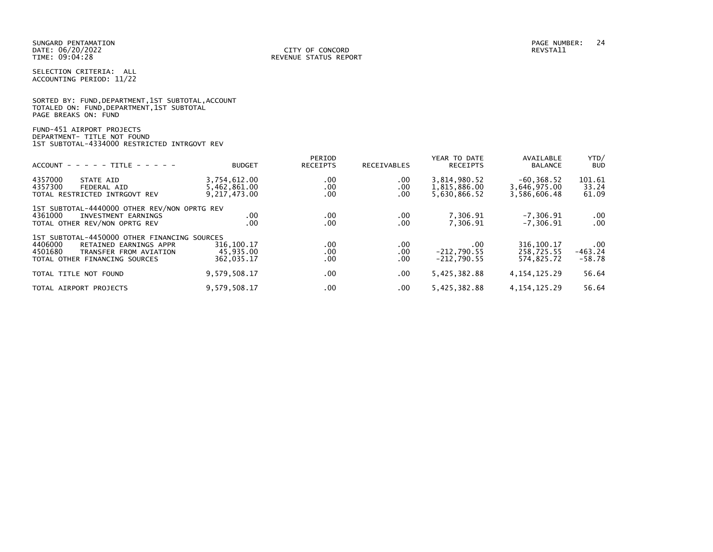SUNGARD PENTAMATION PAGE NUMBER: 24 DATE: 06/20/2022<br>TIME: 09:04:28

SELECTION CRITERIA: ALL ACCOUNTING PERIOD: 11/22

SORTED BY: FUND, DEPARTMENT, 1ST SUBTOTAL, ACCOUNT TOTALED ON: FUND,DEPARTMENT,1ST SUBTOTAL PAGE BREAKS ON: FUND

FUND-451 AIRPORT PROJECTS DEPARTMENT- TITLE NOT FOUND 1ST SUBTOTAL-4334000 RESTRICTED INTRGOVT REV

| $ACCOUNT - - - - - TITE - - - - -$                                                                                                                      | <b>BUDGET</b>                                   | PERIOD<br><b>RECEIPTS</b> | <b>RECEIVABLES</b>     | YEAR TO DATE<br><b>RECEIPTS</b>              | AVAILABLE<br><b>BALANCE</b>                  | YTD/<br><b>BUD</b>                |
|---------------------------------------------------------------------------------------------------------------------------------------------------------|-------------------------------------------------|---------------------------|------------------------|----------------------------------------------|----------------------------------------------|-----------------------------------|
| 4357000<br>STATE AID<br>4357300<br>FEDERAL AID<br>TOTAL RESTRICTED INTRGOVT REV                                                                         | 3,754,612.00<br>5,462,861.00<br>9, 217, 473, 00 | .00<br>.00<br>.00         | $.00 \,$<br>.00<br>.00 | 3,814,980.52<br>1,815,886.00<br>5,630,866.52 | $-60.368.52$<br>3,646,975.00<br>3,586,606.48 | 101.61<br>33.24<br>61.09          |
| 1ST SUBTOTAL-4440000 OTHER REV/NON OPRTG REV<br>4361000<br>INVESTMENT EARNINGS<br>TOTAL OTHER REV/NON OPRTG REV                                         | .00<br>.00                                      | .00.<br>.00               | .00<br>.00             | 7,306.91<br>7.306.91                         | $-7, 306.91$<br>$-7.306.91$                  | $.00 \,$<br>$.00 \times$          |
| 1ST SUBTOTAL-4450000 OTHER FINANCING SOURCES<br>4406000<br>RETAINED EARNINGS APPR<br>4501680<br>TRANSFER FROM AVIATION<br>TOTAL OTHER FINANCING SOURCES | 316,100.17<br>45,935.00<br>362,035.17           | .00.<br>.00<br>.00        | .00<br>.00<br>.00      | $.00 \,$<br>$-212,790.55$<br>$-212.790.55$   | 316, 100. 17<br>258,725.55<br>574,825.72     | $.00 \,$<br>$-463.24$<br>$-58.78$ |
| TOTAL TITLE NOT FOUND                                                                                                                                   | 9,579,508.17                                    | $.00 \times$              | $.00 \,$               | 5,425,382.88                                 | 4, 154, 125, 29                              | 56.64                             |
| TOTAL AIRPORT PROJECTS                                                                                                                                  | 9,579,508.17                                    | .00                       | .00                    | 5,425,382.88                                 | 4, 154, 125, 29                              | 56.64                             |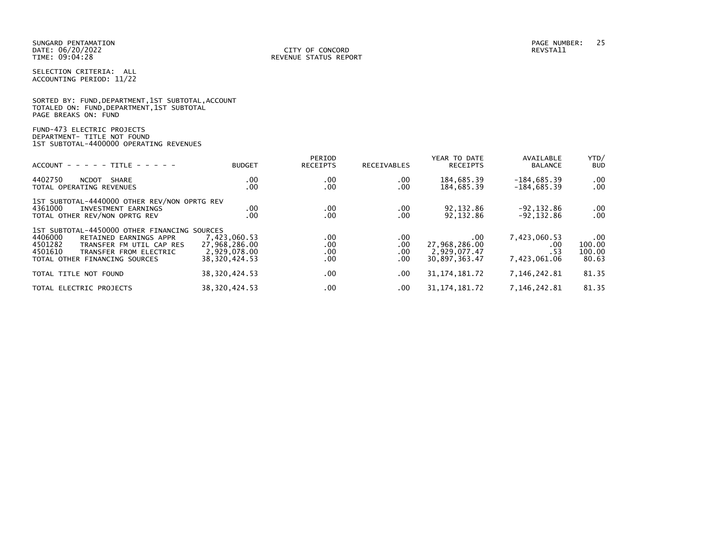|                      |  |  | SORTED BY: FUND, DEPARTMENT, 1ST SUBTOTAL, ACCOUNT |  |
|----------------------|--|--|----------------------------------------------------|--|
|                      |  |  | TOTALED ON: FUND, DEPARTMENT, 1ST SUBTOTAL         |  |
| PAGE BREAKS ON: FUND |  |  |                                                    |  |

# FUND-473 ELECTRIC PROJECTS DEPARTMENT- TITLE NOT FOUND 1ST SUBTOTAL-4400000 OPERATING REVENUES

| $ACCOUNT - - - - - TITE - - - - -$                                                                                                                                                             | <b>BUDGET</b>                                                    | PERIOD<br><b>RECEIPTS</b>     | RECEIVABLES               | YEAR TO DATE<br><b>RECEIPTS</b>                       | AVAILABLE<br><b>BALANCE</b>                 | YTD/<br><b>BUD</b>                        |
|------------------------------------------------------------------------------------------------------------------------------------------------------------------------------------------------|------------------------------------------------------------------|-------------------------------|---------------------------|-------------------------------------------------------|---------------------------------------------|-------------------------------------------|
| 4402750<br><b>NCDOT</b><br><b>SHARE</b><br>TOTAL OPERATING REVENUES                                                                                                                            | .00<br>.00                                                       | $.00 \,$<br>$.00 \,$          | .00<br>.00                | 184,685.39<br>184,685.39                              | $-184,685.39$<br>$-184,685.39$              | $.00 \,$<br>.00                           |
| 1ST SUBTOTAL-4440000 OTHER REV/NON OPRTG REV<br>4361000<br>INVESTMENT EARNINGS<br>TOTAL OTHER REV/NON OPRTG REV                                                                                | .00<br>.00                                                       | .00<br>.00                    | .00<br>.00                | 92, 132.86<br>92, 132.86                              | $-92.132.86$<br>$-92, 132.86$               | $\begin{array}{c} .00 \\ .00 \end{array}$ |
| 1ST SUBTOTAL-4450000 OTHER FINANCING SOURCES<br>4406000<br>RETAINED EARNINGS APPR<br>4501282<br>TRANSFER FM UTIL CAP RES<br>4501610<br>TRANSFER FROM ELECTRIC<br>TOTAL OTHER FINANCING SOURCES | 7.423.060.53<br>27,968,286.00<br>2,929,078.00<br>38, 320, 424.53 | .00<br>.00<br>$.00 \,$<br>.00 | .00.<br>.00<br>.00<br>.00 | .00<br>27,968,286.00<br>2,929,077.47<br>30.897.363.47 | 7,423,060.53<br>.00<br>. 53<br>7,423,061.06 | $.00 \,$<br>100.00<br>100.00<br>80.63     |
| TOTAL TITLE NOT FOUND                                                                                                                                                                          | 38, 320, 424.53                                                  | $.00 \,$                      | $.00 \,$                  | 31, 174, 181. 72                                      | 7,146,242.81                                | 81.35                                     |
| TOTAL ELECTRIC PROJECTS                                                                                                                                                                        | 38, 320, 424.53                                                  | .00                           | $.00 \,$                  | 31, 174, 181. 72                                      | 7,146,242.81                                | 81.35                                     |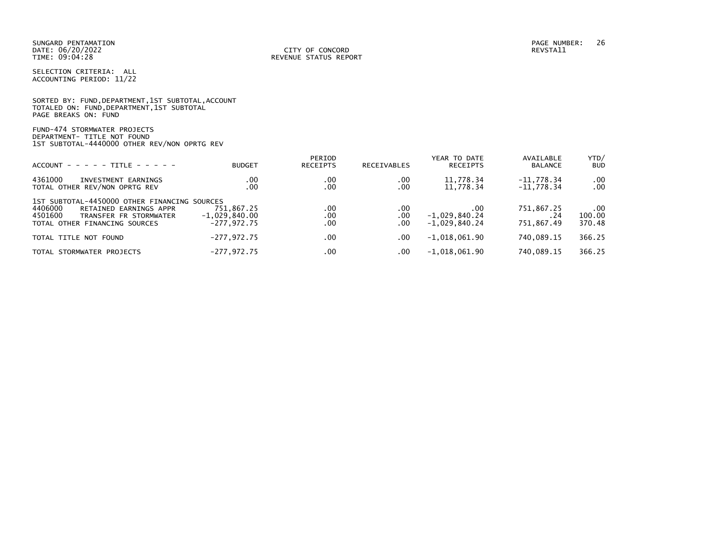|                      |  | SORTED BY: FUND, DEPARTMENT, 1ST SUBTOTAL, ACCOUNT |  |
|----------------------|--|----------------------------------------------------|--|
|                      |  | TOTALED ON: FUND, DEPARTMENT, 1ST SUBTOTAL         |  |
| PAGE BREAKS ON: FUND |  |                                                    |  |

FUND-474 STORMWATER PROJECTS DEPARTMENT- TITLE NOT FOUND 1ST SUBTOTAL-4440000 OTHER REV/NON OPRTG REV

| $ACCOUNT - - - - - TITLE - - - - -$                                                                                                                     | <b>BUDGET</b>                                  | PERIOD<br>RECEIPTS | <b>RECEIVABLES</b> | YEAR TO DATE<br><b>RECEIPTS</b>           | AVAILABLE<br><b>BALANCE</b>      | YTD/<br><b>BUD</b>           |
|---------------------------------------------------------------------------------------------------------------------------------------------------------|------------------------------------------------|--------------------|--------------------|-------------------------------------------|----------------------------------|------------------------------|
| 4361000<br>INVESTMENT EARNINGS<br>TOTAL OTHER REV/NON OPRTG REV                                                                                         | .00<br>.00 <sub>1</sub>                        | .00<br>.00         | .00<br>.00         | 11,778.34<br>11,778.34                    | $-11.778.34$<br>$-11.778.34$     | $.00 \,$<br>$.00 \,$         |
| 1ST SUBTOTAL-4450000 OTHER FINANCING SOURCES<br>4406000<br>RETAINED EARNINGS APPR<br>4501600<br>TRANSFER FR STORMWATER<br>TOTAL OTHER FINANCING SOURCES | 751.867.25<br>$-1,029,840.00$<br>$-277.972.75$ | .00<br>.00<br>.00  | .00<br>.00<br>.00  | .00<br>$-1,029,840.24$<br>$-1.029.840.24$ | 751,867.25<br>. 24<br>751.867.49 | $.00 \,$<br>100.00<br>370.48 |
| TOTAL TITLE NOT FOUND                                                                                                                                   | $-277,972.75$                                  | .00                | .00.               | $-1,018,061.90$                           | 740.089.15                       | 366.25                       |
| TOTAL STORMWATER PROJECTS                                                                                                                               | $-277,972.75$                                  | .00                | $.00 \,$           | $-1,018,061.90$                           | 740,089.15                       | 366.25                       |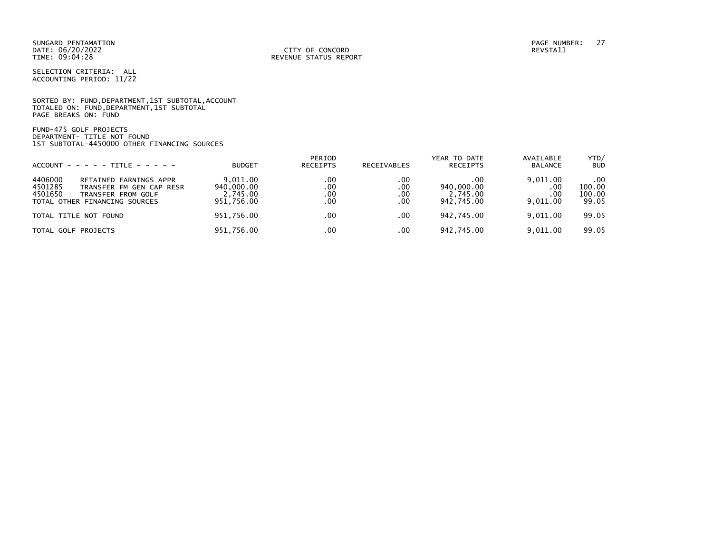SUNGARD PENTAMATION PAGE NUMBER: 27 DATE: 06/20/2022<br>TIME: 09:04:28

SELECTION CRITERIA: ALL ACCOUNTING PERIOD: 11/22

SORTED BY: FUND, DEPARTMENT, 1ST SUBTOTAL, ACCOUNT TOTALED ON: FUND,DEPARTMENT,1ST SUBTOTAL PAGE BREAKS ON: FUND

FUND-475 GOLF PROJECTS DEPARTMENT- TITLE NOT FOUND 1ST SUBTOTAL-4450000 OTHER FINANCING SOURCES

| $ACCOUNT - - - - - TITE - - - - -$                                                                                                         | <b>BUDGET</b>                                    | PERIOD<br><b>RECEIPTS</b> | <b>RECEIVABLES</b>       | YEAR TO DATE<br><b>RECEIPTS</b>              | AVAILABLE<br><b>BALANCE</b>        | YTD/<br><b>BUD</b>               |
|--------------------------------------------------------------------------------------------------------------------------------------------|--------------------------------------------------|---------------------------|--------------------------|----------------------------------------------|------------------------------------|----------------------------------|
| 4406000<br>RETAINED EARNINGS APPR<br>4501285<br>TRANSFER FM GEN CAP RESR<br>4501650<br>TRANSFER FROM GOLF<br>TOTAL OTHER FINANCING SOURCES | 9.011.00<br>940,000.00<br>2,745.00<br>951,756.00 | .00<br>.00<br>.00<br>.00  | .00<br>.00<br>.00<br>.00 | . 00<br>940,000.00<br>2,745.00<br>942,745.00 | 9,011.00<br>.00<br>.00<br>9.011.00 | .00<br>100.00<br>100.00<br>99.05 |
| TOTAL TITLE NOT FOUND                                                                                                                      | 951,756.00                                       | $.00 \times$              | .00                      | 942,745.00                                   | 9.011.00                           | 99.05                            |
| TOTAL GOLF PROJECTS                                                                                                                        | 951,756.00                                       | .00                       | .00                      | 942,745.00                                   | 9,011.00                           | 99.05                            |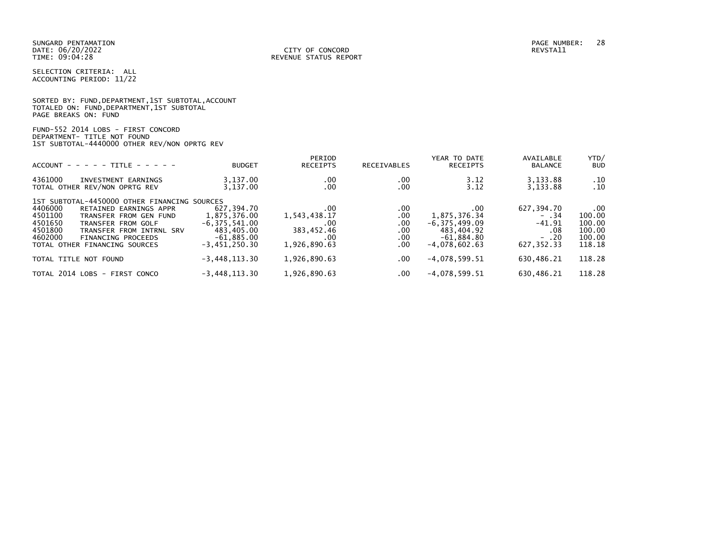SELECTION CRITERIA: ALL ACCOUNTING PERIOD: 11/22

|                      |                                          | SORTED BY: FUND, DEPARTMENT, 1ST SUBTOTAL, ACCOUNT |
|----------------------|------------------------------------------|----------------------------------------------------|
|                      | TOTALED ON: FUND,DEPARTMENT,1ST SUBTOTAL |                                                    |
| PAGE BREAKS ON: FUND |                                          |                                                    |

|  |  |                             | FUND-552 2014 LOBS - FIRST CONCORD           |  |
|--|--|-----------------------------|----------------------------------------------|--|
|  |  | DEPARTMENT- TITLE NOT FOUND |                                              |  |
|  |  |                             | 1ST SUBTOTAL-4440000 OTHER REV/NON OPRTG REV |  |

| $ACCOUNT - - - - - TITE - - - - -$                                                                                                                                                                                                                                      | <b>BUDGET</b>                                                                                    | PERIOD<br><b>RECEIPTS</b>                                       | RECEIVABLES                             | YEAR TO DATE<br><b>RECEIPTS</b>                                                           | AVAILABLE<br><b>BALANCE</b>                                      | YTD/<br><b>BUD</b>                                         |
|-------------------------------------------------------------------------------------------------------------------------------------------------------------------------------------------------------------------------------------------------------------------------|--------------------------------------------------------------------------------------------------|-----------------------------------------------------------------|-----------------------------------------|-------------------------------------------------------------------------------------------|------------------------------------------------------------------|------------------------------------------------------------|
| 4361000<br>INVESTMENT EARNINGS<br>TOTAL OTHER REV/NON OPRTG REV                                                                                                                                                                                                         | 3,137.00<br>3,137.00                                                                             | .00<br>.00                                                      | .00<br>.00                              | 3.12<br>3.12                                                                              | 3,133.88<br>3,133.88                                             | .10<br>.10                                                 |
| 1ST SUBTOTAL-4450000 OTHER FINANCING SOURCES<br>4406000<br>RETAINED EARNINGS APPR<br>4501100<br>TRANSFER FROM GEN FUND<br>4501650<br>TRANSFER FROM GOLF<br>4501800<br>TRANSFER FROM INTRNL SRV<br>4602000<br><b>FINANCING PROCEEDS</b><br>TOTAL OTHER FINANCING SOURCES | 627,394.70<br>1,875,376.00<br>$-6, 375, 541.00$<br>483,405.00<br>$-61,885.00$<br>$-3,451,250.30$ | .00<br>1,543,438.17<br>.00<br>383,452.46<br>.00<br>1,926,890.63 | .00<br>.00<br>.00<br>.00<br>.00<br>.00. | .00<br>1,875,376.34<br>$-6, 375, 499.09$<br>483,404.92<br>$-61,884.80$<br>$-4.078.602.63$ | 627,394.70<br>$-34$<br>$-41.91$<br>.08<br>$- .20$<br>627, 352.33 | $.00 \,$<br>100.00<br>100.00<br>100.00<br>100.00<br>118.18 |
| TOTAL TITLE NOT FOUND                                                                                                                                                                                                                                                   | $-3,448,113.30$                                                                                  | 1,926,890.63                                                    | .00.                                    | $-4,078,599.51$                                                                           | 630,486.21                                                       | 118.28                                                     |
| TOTAL 2014 LOBS - FIRST CONCO                                                                                                                                                                                                                                           | $-3,448,113.30$                                                                                  | 1,926,890.63                                                    | .00.                                    | $-4,078,599.51$                                                                           | 630,486.21                                                       | 118.28                                                     |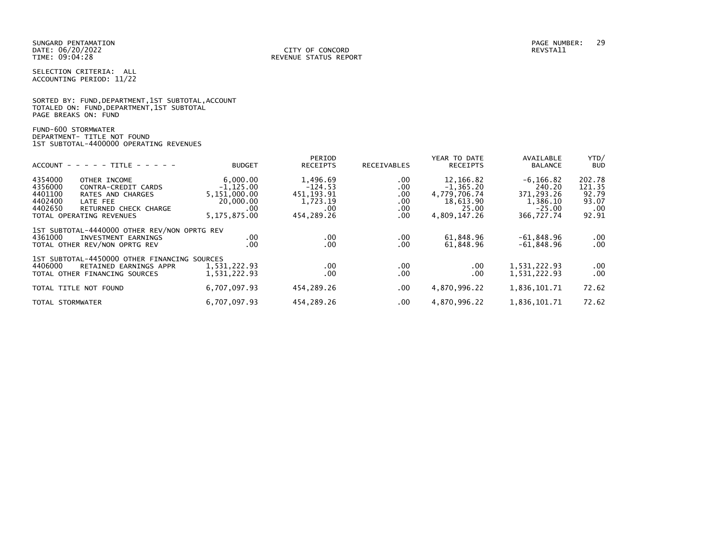SELECTION CRITERIA: ALL ACCOUNTING PERIOD: 11/22

|                      |  |  | SORTED BY: FUND, DEPARTMENT, 1ST SUBTOTAL, ACCOUNT |  |
|----------------------|--|--|----------------------------------------------------|--|
|                      |  |  | TOTALED ON: FUND, DEPARTMENT, 1ST SUBTOTAL         |  |
| PAGE BREAKS ON: FUND |  |  |                                                    |  |

FUND-600 STORMWATER DEPARTMENT- TITLE NOT FOUND 1ST SUBTOTAL-4400000 OPERATING REVENUES

|                                                                                                                                                                                  |                                                                              | PERIOD                                                                 |                                                       | YEAR TO DATE                                                                    | AVAILABLE                                                                  | YTD/                                               |
|----------------------------------------------------------------------------------------------------------------------------------------------------------------------------------|------------------------------------------------------------------------------|------------------------------------------------------------------------|-------------------------------------------------------|---------------------------------------------------------------------------------|----------------------------------------------------------------------------|----------------------------------------------------|
| $ACCOUNT - - - - - TITE - - - - -$                                                                                                                                               | <b>BUDGET</b>                                                                | <b>RECEIPTS</b>                                                        | RECEIVABLES                                           | <b>RECEIPTS</b>                                                                 | <b>BALANCE</b>                                                             | <b>BUD</b>                                         |
| 4354000<br>OTHER INCOME<br>4356000<br>CONTRA-CREDIT CARDS<br>4401100<br>RATES AND CHARGES<br>4402400<br>LATE FEE<br>4402650<br>RETURNED CHECK CHARGE<br>TOTAL OPERATING REVENUES | 6,000.00<br>$-1, 125.00$<br>5,151,000.00<br>20,000.00<br>.00<br>5.175.875.00 | 1,496.69<br>$-124.53$<br>451, 193. 91<br>1,723.19<br>.00<br>454.289.26 | $.00 \,$<br>.00<br>.00<br>$.00 \,$<br>$.00 \,$<br>.00 | 12,166.82<br>$-1, 365.20$<br>4,779,706.74<br>18,613.90<br>25.00<br>4,809,147.26 | $-6, 166.82$<br>240.20<br>371,293.26<br>1,386.10<br>$-25.00$<br>366,727.74 | 202.78<br>121.35<br>92.79<br>93.07<br>.00<br>92.91 |
| 1ST SUBTOTAL-4440000 OTHER REV/NON OPRTG REV<br>4361000<br>INVESTMENT EARNINGS<br>TOTAL OTHER REV/NON OPRTG REV                                                                  | $.00 \,$<br>.00                                                              | .00.<br>.00                                                            | $.00 \,$<br>.00                                       | 61,848.96<br>61,848.96                                                          | $-61,848.96$<br>$-61,848.96$                                               | $.00 \,$<br>$.00 \,$                               |
| 1ST SUBTOTAL-4450000 OTHER FINANCING SOURCES<br>4406000<br>RETAINED EARNINGS APPR<br>TOTAL OTHER FINANCING SOURCES                                                               | 1,531,222.93<br>1,531,222.93                                                 | .00.<br>.00                                                            | $.00 \,$<br>$.00 \,$                                  | .00<br>$.00 \,$                                                                 | 1,531,222.93<br>1,531,222.93                                               | $.00 \,$<br>$.00 \,$                               |
| TOTAL TITLE NOT FOUND                                                                                                                                                            | 6,707,097.93                                                                 | 454.289.26                                                             | $.00 \,$                                              | 4,870,996.22                                                                    | 1,836,101.71                                                               | 72.62                                              |
| TOTAL STORMWATER                                                                                                                                                                 | 6,707,097.93                                                                 | 454.289.26                                                             | $.00 \,$                                              | 4,870,996.22                                                                    | 1,836,101.71                                                               | 72.62                                              |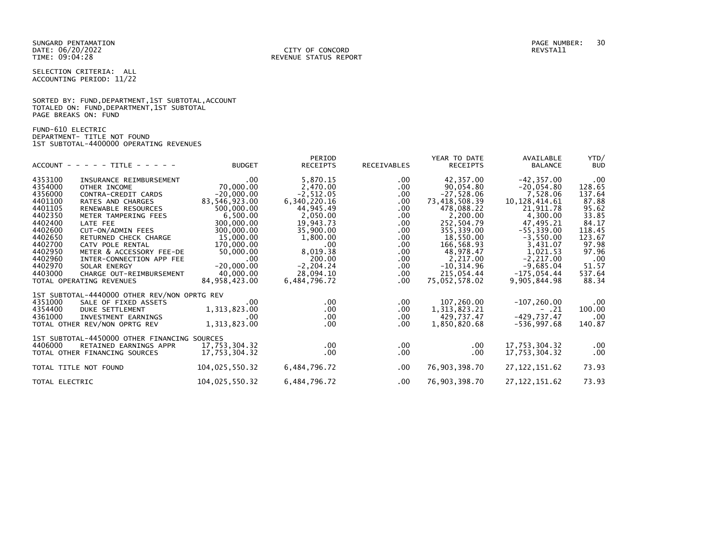SELECTION CRITERIA: ALL ACCOUNTING PERIOD: 11/22

|                      |  |  | SORTED BY: FUND, DEPARTMENT, 1ST SUBTOTAL, ACCOUNT |  |
|----------------------|--|--|----------------------------------------------------|--|
|                      |  |  | TOTALED ON: FUND, DEPARTMENT, 1ST SUBTOTAL         |  |
| PAGE BREAKS ON: FUND |  |  |                                                    |  |

FUND-610 ELECTRIC DEPARTMENT- TITLE NOT FOUND 1ST SUBTOTAL-4400000 OPERATING REVENUES

|                                              |                | PERIOD       |             | YEAR TO DATE    | AVAILABLE       | YTD/       |
|----------------------------------------------|----------------|--------------|-------------|-----------------|-----------------|------------|
| $ACCOUNT - - - - TITLE - - - - -$            | <b>BUDGET</b>  | RECEIPTS     | RECEIVABLES | RECEIPTS        | <b>BALANCE</b>  | <b>BUD</b> |
| 4353100<br>INSURANCE REIMBURSEMENT           | $.00 \,$       | 5,870.15     | $.00 \,$    | 42,357.00       | $-42, 357.00$   | .00        |
| 4354000<br>OTHER INCOME                      | 70,000.00      | 2,470.00     | $.00 \,$    | 90,054.80       | $-20,054.80$    | 128.65     |
| 4356000<br>CONTRA-CREDIT CARDS               | $-20,000.00$   | $-2, 512.05$ | $.00 \,$    | $-27,528.06$    | 7,528.06        | 137.64     |
| 4401100<br>RATES AND CHARGES                 | 83,546,923.00  | 6,340,220.16 | $.00 \,$    | 73,418,508.39   | 10, 128, 414.61 | 87.88      |
| 4401105<br>RENEWABLE RESOURCES               | 500,000.00     | 44,945.49    | $.00 \,$    | 478,088.22      | 21,911.78       | 95.62      |
| 4402350<br>METER TAMPERING FEES              | 6,500.00       | 2,050.00     | $.00 \,$    | 2,200.00        | 4,300.00        | 33.85      |
| 4402400<br>LATE FEE                          | 300,000.00     | 19,943.73    | $.00 \,$    | 252,504.79      | 47,495.21       | 84.17      |
| 4402600<br>CUT-ON/ADMIN FEES                 | 300,000.00     | 35,900.00    | $.00 \,$    | 355,339.00      | $-55, 339.00$   | 118.45     |
| 4402650<br>RETURNED CHECK CHARGE             | 15,000.00      | 1,800.00     | $.00 \,$    | 18,550.00       | $-3,550.00$     | 123.67     |
| 4402700<br>CATV POLE RENTAL                  | 170,000.00     | $.00 \,$     | $.00 \,$    | 166,568.93      | 3,431.07        | 97.98      |
| 4402950<br>METER & ACCESSORY FEE-DE          | 50,000.00      | 8,019.38     | $.00 \,$    | 48,978.47       | 1,021.53        | 97.96      |
| 4402960<br>INTER-CONNECTION APP FEE          | $.00 \,$       | 200.00       | $.00 \,$    | 2,217.00        | $-2, 217.00$    | .00        |
| 4402970<br>SOLAR ENERGY                      | $-20,000.00$   | $-2, 204.24$ | $.00 \,$    | $-10, 314.96$   | $-9,685.04$     | 51.57      |
| 4403000<br>CHARGE OUT-REIMBURSEMENT          | 40,000.00      | 28,094.10    | .00         | 215,054.44      | $-175,054.44$   | 537.64     |
| TOTAL OPERATING REVENUES                     | 84,958,423.00  | 6,484,796.72 | .00         | 75,052,578.02   | 9,905,844.98    | 88.34      |
|                                              |                |              |             |                 |                 |            |
| 1ST SUBTOTAL-4440000 OTHER REV/NON OPRTG REV |                |              |             |                 |                 |            |
| 4351000<br>SALE OF FIXED ASSETS              | .00.           | $.00 \,$     | $.00 \,$    | 107,260.00      | $-107, 260.00$  | .00        |
| 4354400<br>DUKE SETTLEMENT                   | 1,313,823.00   | $.00 \,$     | $.00 \,$    | 1, 313, 823. 21 | $- .21$         | 100.00     |
| 4361000<br>INVESTMENT EARNINGS               | .00            | $.00 \,$     | $.00 \,$    | 429,737.47      | $-429,737.47$   | .00        |
| TOTAL OTHER REV/NON OPRTG REV                | 1,313,823.00   | $.00 \,$     | .00         | 1,850,820.68    | -536,997.68     | 140.87     |
|                                              |                |              |             |                 |                 |            |
| 1ST SUBTOTAL-4450000 OTHER FINANCING SOURCES |                |              |             |                 |                 |            |
| 4406000<br>RETAINED EARNINGS APPR            | 17,753,304.32  | $.00 \,$     | $.00 \,$    | $.00 \,$        | 17,753,304.32   | .00        |
| TOTAL OTHER FINANCING SOURCES                | 17,753,304.32  | .00          | .00.        | .00.            | 17,753,304.32   | .00        |
|                                              |                |              |             |                 |                 |            |
| TOTAL TITLE NOT FOUND                        | 104,025,550.32 | 6,484,796.72 | $.00 \,$    | 76,903,398.70   | 27, 122, 151.62 | 73.93      |
|                                              |                |              |             |                 |                 |            |
| TOTAL ELECTRIC                               | 104,025,550.32 | 6,484,796.72 | $.00 \,$    | 76,903,398.70   | 27, 122, 151.62 | 73.93      |
|                                              |                |              |             |                 |                 |            |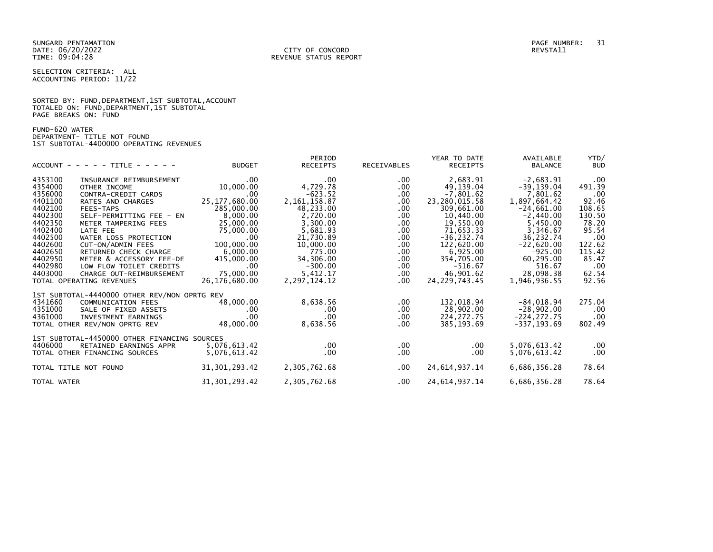SELECTION CRITERIA: ALL ACCOUNTING PERIOD: 11/22

|                      |  |  | SORTED BY: FUND, DEPARTMENT, 1ST SUBTOTAL, ACCOUNT |  |
|----------------------|--|--|----------------------------------------------------|--|
|                      |  |  | TOTALED ON: FUND, DEPARTMENT, 1ST SUBTOTAL         |  |
| PAGE BREAKS ON: FUND |  |  |                                                    |  |

FUND-620 WATER DEPARTMENT- TITLE NOT FOUND 1ST SUBTOTAL-4400000 OPERATING REVENUES

|                                              |                 | PERIOD          |             | YEAR TO DATE     | AVAILABLE      | YTD/       |
|----------------------------------------------|-----------------|-----------------|-------------|------------------|----------------|------------|
| $ACCOUNT - - - - + TITE - - - - -$           | <b>BUDGET</b>   | <b>RECEIPTS</b> | RECEIVABLES | RECEIPTS         | <b>BALANCE</b> | <b>BUD</b> |
| 4353100<br>INSURANCE REIMBURSEMENT           | $.00 \,$        | .00             | $.00 \,$    | 2,683.91         | $-2,683.91$    | .00        |
| 4354000<br>OTHER INCOME                      | 10,000.00       | 4,729.78        | $.00 \,$    | 49,139.04        | $-39, 139.04$  | 491.39     |
| 4356000<br>CONTRA-CREDIT CARDS               | .00.            | $-623.52$       | $.00 \,$    | $-7,801.62$      | 7,801.62       | .00        |
| 4401100<br>RATES AND CHARGES                 | 25, 177, 680.00 | 2, 161, 158.87  | $.00 \,$    | 23,280,015.58    | 1,897,664.42   | 92.46      |
| 4402100<br>FEES-TAPS                         | 285,000.00      | 48,233.00       | $.00 \,$    | 309,661.00       | $-24,661.00$   | 108.65     |
| 4402300<br>SELF-PERMITTING FEE - EN          | 8,000.00        | 2,720.00        | $.00 \,$    | 10,440.00        | $-2,440.00$    | 130.50     |
| 4402350<br>METER TAMPERING FEES              | 25,000.00       | 3,300.00        | $.00 \,$    | 19,550.00        | 5,450.00       | 78.20      |
| 4402400<br>LATE FEE                          | 75,000.00       | 5,681.93        | $.00 \,$    | 71,653.33        | 3,346.67       | 95.54      |
| 4402500<br>WATER LOSS PROTECTION             | $.00 \,$        | 21,730.89       | $.00 \,$    | $-36, 232.74$    | 36,232.74      | .00        |
| 4402600<br>CUT-ON/ADMIN FEES                 | 100,000.00      | 10,000.00       | $.00 \,$    | 122,620.00       | $-22,620.00$   | 122.62     |
| 4402650<br>RETURNED CHECK CHARGE             | 6,000.00        | 775.00          | $.00 \,$    | 6,925.00         | $-925.00$      | 115.42     |
| 4402950<br>METER & ACCESSORY FEE-DE          | 415,000.00      | 34,306.00       | $.00 \,$    | 354,705.00       | 60,295.00      | 85.47      |
| 4402980<br>LOW FLOW TOILET CREDITS           | $.00 \,$        | $-300.00$       | $.00 \,$    | $-516.67$        | 516.67         | .00        |
| 4403000<br>CHARGE OUT-REIMBURSEMENT          | 75,000.00       | 5,412.17        | .00         | 46,901.62        | 28,098.38      | 62.54      |
| TOTAL OPERATING REVENUES                     | 26,176,680.00   | 2,297,124.12    | $.00 \,$    | 24, 229, 743.45  | 1,946,936.55   | 92.56      |
| 1ST SUBTOTAL-4440000 OTHER REV/NON OPRTG REV |                 |                 |             |                  |                |            |
| 4341660<br>COMMUNICATION FEES                | 48,000.00       | 8,638.56        | .00.        | 132,018.94       | -84,018.94     | 275.04     |
| 4351000<br>SALE OF FIXED ASSETS              | $.00 \,$        | .00             | .00         | 28,902.00        | $-28,902.00$   | .00        |
| 4361000<br>INVESTMENT EARNINGS               | $.00 \,$        | $.00 \,$        | $.00 \,$    | 224, 272.75      | $-224, 272.75$ | .00        |
| TOTAL OTHER REV/NON OPRTG REV                | 48,000.00       | 8,638.56        | $.00 \,$    | 385,193.69       | -337,193.69    | 802.49     |
| 1ST SUBTOTAL-4450000 OTHER FINANCING SOURCES |                 |                 |             |                  |                |            |
| 4406000<br>RETAINED EARNINGS APPR            | 5,076,613.42    | $.00 \,$        | $.00 \,$    | $.00 \,$         | 5,076,613.42   | .00        |
| TOTAL OTHER FINANCING SOURCES                | 5,076,613.42    | .00.            | $.00 \,$    | .00.             | 5,076,613.42   | .00        |
| TOTAL TITLE NOT FOUND                        | 31, 301, 293.42 | 2,305,762.68    | .00         | 24, 614, 937. 14 | 6,686,356.28   | 78.64      |
| TOTAL WATER                                  | 31, 301, 293.42 | 2,305,762.68    | $.00 \,$    | 24,614,937.14    | 6,686,356.28   | 78.64      |
|                                              |                 |                 |             |                  |                |            |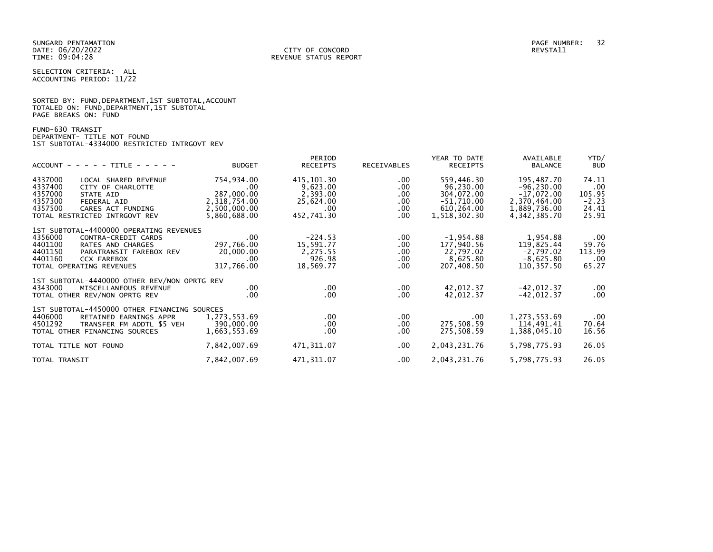SELECTION CRITERIA: ALL ACCOUNTING PERIOD: 11/22

|                      |  |  | SORTED BY: FUND, DEPARTMENT, 1ST SUBTOTAL, ACCOUNT |  |
|----------------------|--|--|----------------------------------------------------|--|
|                      |  |  | TOTALED ON: FUND, DEPARTMENT, 1ST SUBTOTAL         |  |
| PAGE BREAKS ON: FUND |  |  |                                                    |  |

FUND-630 TRANSIT DEPARTMENT- TITLE NOT FOUND 1ST SUBTOTAL-4334000 RESTRICTED INTRGOVT REV

| $ACCOUNT - - - - TITLE - - - - -$                                                                                                                                                                            | <b>BUDGET</b>                                                                    | PERIOD<br><b>RECEIPTS</b>                                             | <b>RECEIVABLES</b>                                                   | YEAR TO DATE<br><b>RECEIPTS</b>                                                     | AVAILABLE<br><b>BALANCE</b>                                                                 | YTD/<br><b>BUD</b>                                  |
|--------------------------------------------------------------------------------------------------------------------------------------------------------------------------------------------------------------|----------------------------------------------------------------------------------|-----------------------------------------------------------------------|----------------------------------------------------------------------|-------------------------------------------------------------------------------------|---------------------------------------------------------------------------------------------|-----------------------------------------------------|
| 4337000<br>LOCAL SHARED REVENUE<br>4337400<br>CITY OF CHARLOTTE<br>4357000<br>STATE AID<br>4357300<br><b>FEDERAL AID</b><br>4357500<br>CARES ACT FUNDING<br>TOTAL RESTRICTED INTRGOVT REV                    | 754,934.00<br>.00.<br>287,000.00<br>2,318,754.00<br>2,500,000.00<br>5,860,688.00 | 415,101.30<br>9,623.00<br>2,393.00<br>25,624.00<br>.00.<br>452,741.30 | $.00 \,$<br>$.00 \,$<br>$.00 \,$<br>$.00 \,$<br>$.00 \,$<br>$.00 \,$ | 559,446.30<br>96,230.00<br>304,072.00<br>$-51,710.00$<br>610,264.00<br>1,518,302.30 | 195,487.70<br>$-96, 230.00$<br>$-17,072.00$<br>2,370,464.00<br>1,889,736.00<br>4,342,385.70 | 74.11<br>.00<br>105.95<br>$-2.23$<br>24.41<br>25.91 |
| 1ST SUBTOTAL-4400000 OPERATING REVENUES<br>4356000<br>CONTRA-CREDIT CARDS<br>4401100<br>RATES AND CHARGES<br>4401150<br>PARATRANSIT FAREBOX REV<br>4401160<br><b>CCX FAREBOX</b><br>TOTAL OPERATING REVENUES | .00.<br>297,766.00<br>20,000.00<br>.00<br>317,766.00                             | $-224.53$<br>15,591.77<br>2,275.55<br>926.98<br>18,569.77             | $.00 \,$<br>$.00 \,$<br>$.00 \,$<br>$.00 \,$<br>$.00 \,$             | $-1,954.88$<br>177,940.56<br>22,797.02<br>8,625.80<br>207,408.50                    | 1,954.88<br>119,825.44<br>$-2,797.02$<br>$-8,625.80$<br>110,357.50                          | .00<br>59.76<br>113.99<br>.00<br>65.27              |
| 1ST SUBTOTAL-4440000 OTHER REV/NON OPRTG REV<br>4343000<br>MISCELLANEOUS REVENUE<br>TOTAL OTHER REV/NON OPRTG REV                                                                                            | $.00 \,$<br>.00.                                                                 | $.00 \,$<br>$.00 \,$                                                  | $.00 \,$<br>$.00 \,$                                                 | 42,012.37<br>42,012.37                                                              | $-42,012.37$<br>$-42,012.37$                                                                | .00<br>.00                                          |
| 1ST SUBTOTAL-4450000 OTHER FINANCING SOURCES<br>4406000<br>RETAINED EARNINGS APPR<br>TRANSFER FM ADDTL \$5 VEH<br>4501292<br>TOTAL OTHER FINANCING SOURCES                                                   | 1,273,553.69<br>390,000.00<br>1,663,553.69                                       | $.00 \,$<br>$.00 \,$<br>.00                                           | $.00 \,$<br>$.00 \,$<br>.00.                                         | $.00 \cdot$<br>275,508.59<br>275,508.59                                             | 1,273,553.69<br>114,491.41<br>1,388,045.10                                                  | .00<br>70.64<br>16.56                               |
| TOTAL TITLE NOT FOUND                                                                                                                                                                                        | 7,842,007.69                                                                     | 471,311.07                                                            | $.00 \,$                                                             | 2,043,231.76                                                                        | 5,798,775.93                                                                                | 26.05                                               |
| TOTAL TRANSIT                                                                                                                                                                                                | 7,842,007.69                                                                     | 471,311.07                                                            | $.00 \,$                                                             | 2,043,231.76                                                                        | 5,798,775.93                                                                                | 26.05                                               |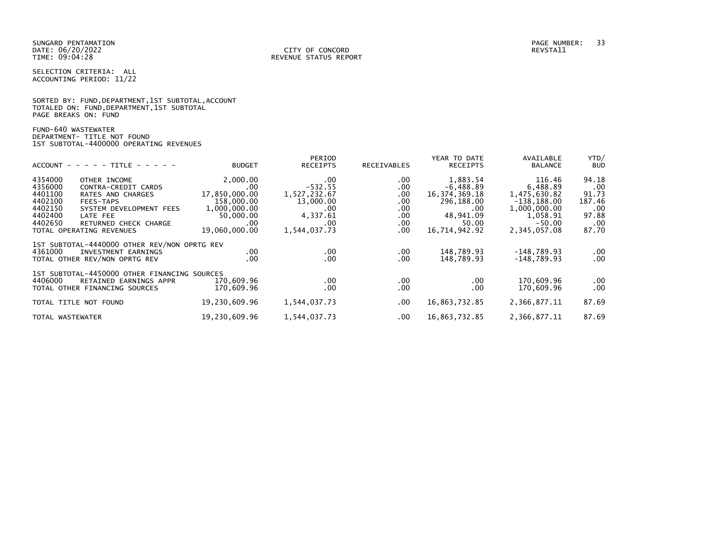SELECTION CRITERIA: ALL ACCOUNTING PERIOD: 11/22

|                      |  |  |                                            | SORTED BY: FUND, DEPARTMENT, 1ST SUBTOTAL, ACCOUNT |  |
|----------------------|--|--|--------------------------------------------|----------------------------------------------------|--|
|                      |  |  | TOTALED ON: FUND, DEPARTMENT, 1ST SUBTOTAL |                                                    |  |
| PAGE BREAKS ON: FUND |  |  |                                            |                                                    |  |

FUND-640 WASTEWATER DEPARTMENT- TITLE NOT FOUND 1ST SUBTOTAL-4400000 OPERATING REVENUES

|                  |                                              |               | PERIOD           |             | YEAR TO DATE     | AVAILABLE      | YTD/       |
|------------------|----------------------------------------------|---------------|------------------|-------------|------------------|----------------|------------|
|                  | $ACCOUNT - - - - - TITLE - - - - -$          | <b>BUDGET</b> | <b>RECEIPTS</b>  | RECEIVABLES | <b>RECEIPTS</b>  | <b>BALANCE</b> | <b>BUD</b> |
| 4354000          | OTHER INCOME                                 | 2,000.00      | .00              | .00.        | 1,883.54         | 116.46         | 94.18      |
| 4356000          | CONTRA-CREDIT CARDS                          | .00           | $-532.55$        | .00         | $-6,488.89$      | 6.488.89       | .00        |
| 4401100          | RATES AND CHARGES                            | 17,850,000.00 | 1,527,232.67     | .00         | 16, 374, 369, 18 | 1,475,630.82   | 91.73      |
| 4402100          | FEES-TAPS                                    | 158,000.00    | 13,000.00        | .00.        | 296,188.00       | $-138, 188.00$ | 187.46     |
| 4402150          | SYSTEM DEVELOPMENT FEES                      | 1,000,000.00  | .00              | .00.        | .00              | 1,000,000.00   | .00        |
| 4402400          | LATE FEE                                     | 50,000.00     | 4,337.61         | $.00 \,$    | 48,941.09        | 1,058.91       | 97.88      |
| 4402650          | RETURNED CHECK CHARGE                        | .00           | .00              | .00.        | 50.00            | $-50.00$       | .00        |
|                  | TOTAL OPERATING REVENUES                     | 19,060,000.00 | 1,544,037.73     | .00         | 16,714,942.92    | 2,345,057.08   | 87.70      |
|                  | 1ST SUBTOTAL-4440000 OTHER REV/NON OPRTG REV |               |                  |             |                  |                |            |
| 4361000          | INVESTMENT EARNINGS                          | .00.          | .00              | $.00 \,$    | 148,789.93       | $-148.789.93$  | .00        |
|                  | TOTAL OTHER REV/NON OPRTG REV                | .00           | .00 <sub>1</sub> | .00         | 148,789.93       | $-148,789.93$  | .00        |
|                  | 1ST SUBTOTAL-4450000 OTHER FINANCING SOURCES |               |                  |             |                  |                |            |
| 4406000          | RETAINED EARNINGS APPR                       | 170,609.96    | .00              | $.00 \,$    | .00              | 170.609.96     | .00        |
|                  | TOTAL OTHER FINANCING SOURCES                | 170,609.96    | .00              | .00.        | .00              | 170,609.96     | .00        |
|                  | TOTAL TITLE NOT FOUND                        | 19,230,609.96 | 1,544,037.73     | $.00 \,$    | 16,863,732.85    | 2,366,877.11   | 87.69      |
| TOTAL WASTEWATER |                                              | 19,230,609.96 | 1,544,037.73     | .00         | 16,863,732.85    | 2,366,877.11   | 87.69      |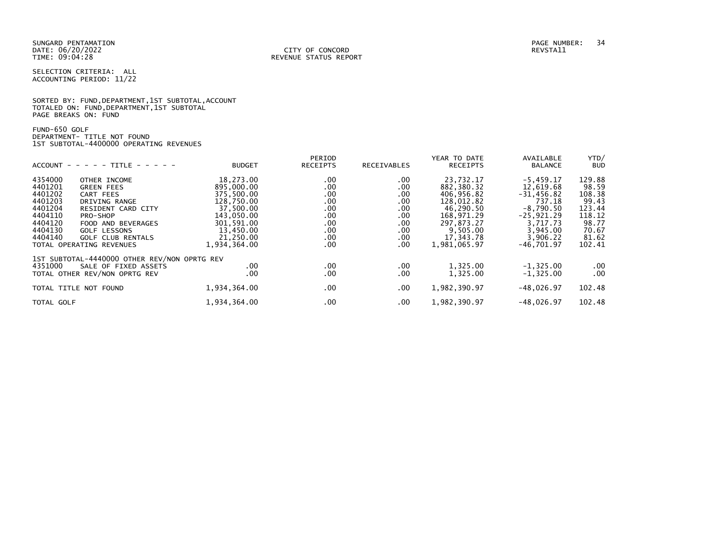SUNGARD PENTAMATION PAGE NUMBER: 34 DATE: 06/20/2022<br>TIME: 09:04:28

SELECTION CRITERIA: ALL ACCOUNTING PERIOD: 11/22

SORTED BY: FUND, DEPARTMENT, 1ST SUBTOTAL, ACCOUNT TOTALED ON: FUND,DEPARTMENT,1ST SUBTOTAL PAGE BREAKS ON: FUND

FUND-650 GOLF DEPARTMENT- TITLE NOT FOUND 1ST SUBTOTAL-4400000 OPERATING REVENUES

| YTD/<br>AVAILABLE            |
|------------------------------|
| <b>BUD</b><br><b>BALANCE</b> |
| 129.88<br>$-5,459.17$        |
| 12,619.68<br>98.59           |
| 108.38<br>$-31,456.82$       |
| 737.18<br>99.43              |
| $-8.790.50$<br>123.44        |
| $-25,921.29$<br>118.12       |
| 3.717.73<br>98.77            |
| 3.945.00<br>70.67            |
| 3,906.22<br>81.62            |
| $-46,701.97$<br>102.41       |
|                              |
| $-1, 325.00$<br>$.00 \,$     |
| .00<br>$-1, 325.00$          |
| $-48.026.97$<br>102.48       |
| 102.48<br>$-48,026.97$       |
|                              |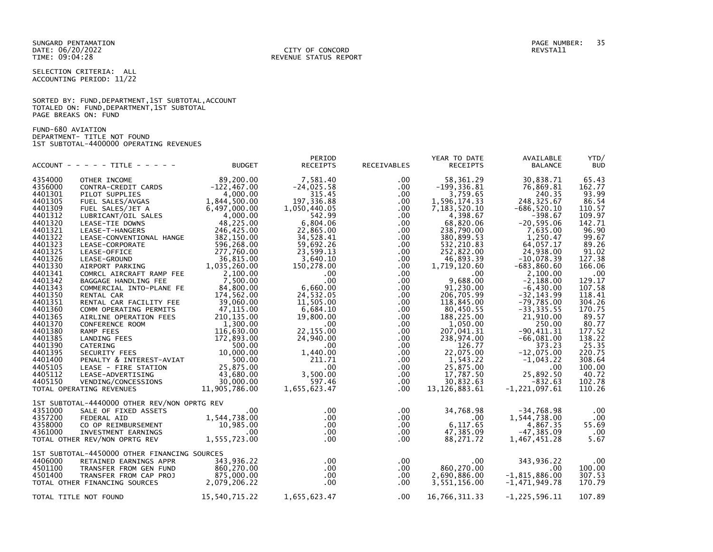SUNGARD PENTAMATION PAGE NUMBER: 35 DATE: 06/20/2022<br>TIME: 09:04:28

SELECTION CRITERIA: ALL ACCOUNTING PERIOD: 11/22

# SORTED BY: FUND, DEPARTMENT, 1ST SUBTOTAL, ACCOUNT TOTALED ON: FUND,DEPARTMENT,1ST SUBTOTAL PAGE BREAKS ON: FUND

FUND-680 AVIATION DEPARTMENT- TITLE NOT FOUND 1ST SUBTOTAL-4400000 OPERATING REVENUES

|                    | ACCOUNT - - - - - TITLE - - - - -            | <b>BUDGET</b>                               | PERIOD<br><b>RECEIPTS</b> | RECEIVABLES          | YEAR TO DATE<br><b>RECEIPTS</b> | AVAILABLE<br><b>BALANCE</b> | YTD/<br><b>BUD</b> |
|--------------------|----------------------------------------------|---------------------------------------------|---------------------------|----------------------|---------------------------------|-----------------------------|--------------------|
| 4354000            | OTHER INCOME                                 | 89,200.00                                   | 7,581.40                  | $.00 \,$             | 58,361.29                       | 30,838.71                   | 65.43              |
| 4356000            | CONTRA-CREDIT CARDS                          | $-122, 467.00$                              | $-24,025.58$              | $.00 \,$             | $-199, 336.81$                  | 76,869.81                   | 162.77             |
| 4401301            | PILOT SUPPLIES                               | 4,000.00                                    | 315.45                    | .00.                 | 3,759.65                        | 240.35                      | 93.99              |
| 4401305            | FUEL SALES/AVGAS                             | 1,844,500.00                                | 197,336.88                | $.00 \,$             | 1,596,174.33                    | 248, 325.67                 | 86.54              |
| 4401309            |                                              | 6,497,000.00                                |                           |                      |                                 |                             |                    |
| 4401312            | FUEL SALES/JET A<br>LUBRICANT/OIL SALES      | 4,000.00                                    | 1,050,440.05<br>542.99    | $.00 \,$<br>$.00 \,$ | 7,183,520.10<br>4,398.67        | $-686, 520.10$<br>$-398.67$ | 110.57<br>109.97   |
| 4401320            |                                              | 48,225.00                                   | 6,804.06                  |                      | 68,820.06                       | $-20, 595.06$               | 142.71             |
| 4401321            | LEASE-TIE DOWNS                              | 246,425.00                                  | 22,865.00                 | .00<br>$.00 \,$      | 238,790.00                      | 7,635.00                    |                    |
| 4401322            | LEASE-T-HANGERS                              | 382,150.00                                  | 34,528.41                 |                      |                                 |                             | 96.90<br>99.67     |
| 4401323            | LEASE-CONVENTIONAL HANGE                     |                                             |                           | .00<br>$.00 \,$      | 380,899.53                      | 1,250.47<br>64,057.17       |                    |
| 4401325            | LEASE-CORPORATE                              | 596,268.00                                  | 59,692.26                 |                      | 532,210.83                      |                             | 89.26              |
| 4401326            | LEASE-OFFICE                                 | 277,760.00                                  | 23,599.13                 | .00                  | 252,822.00                      | 24,938.00                   | 91.02              |
|                    | LEASE-GROUND                                 | 36,815.00<br>$1,035,260.00$<br>1,035,260.00 | 3,640.10                  | $.00 \,$             | 46,893.39                       | $-10.078.39$                | 127.38             |
| 4401330            | AIRPORT PARKING                              |                                             | 150,278.00                | $.00 \,$             | 1,719,120.60                    | $-683, 860.60$              | 166.06             |
| 4401341            | COMRCL AIRCRAFT RAMP FEE                     | 2,100.00                                    | $.00 \,$                  | $.00 \,$             | $.00 \,$                        | 2,100.00                    | .00                |
| 4401342            | BAGGAGE HANDLING FEE                         | 7,500.00                                    | $.00 \,$                  | $.00 \,$             | 9,688.00                        | $-2,188.00$                 | 129.17             |
| 4401343            | COMMERCIAL INTO-PLANE FE                     | 84,800.00                                   | 6,660.00                  | $.00 \,$             | 91,230.00                       | $-6,430.00$                 | 107.58             |
| 4401350            | RENTAL CAR                                   | 174,562.00                                  | 24,532.05                 | $.00 \,$             | 206,705.99                      | $-32, 143.99$               | 118.41             |
| 4401351            | RENTAL CAR FACILITY FEE                      | $-39,060.00$                                | 11,505.00                 | $.00 \,$             | 118,845.00                      | $-79,785.00$                | 304.26             |
| 4401360<br>4401365 | COMM OPERATING PERMITS                       | 47,115.00                                   | 6,684.10                  | $.00 \,$             | 80,450.55                       | $-33, 335.55$               | 170.75             |
|                    | AIRLINE OPERATION FEES                       | 210,135.00                                  | 19,800.00                 | .00                  | 188,225.00                      | 21,910.00                   | 89.57              |
| 4401370            | CONFERENCE ROOM                              | 1,300.00                                    | $.00 \,$                  | $.00 \,$             | 1,050.00                        | 250.00                      | 80.77              |
| 4401380            | RAMP FEES                                    | 116,630.00                                  | 22,155.00                 | $.00 \,$             | 207,041.31                      | $-90, 411.31$               | 177.52             |
| 4401385            | LANDING FEES                                 | 172,893.00                                  | 24,940.00                 | .00                  | 238,974.00                      | $-66,081.00$                | 138.22             |
| 4401390            | CATERING                                     | 500.00                                      | $.00 \,$                  | $.00 \,$             | 126.77                          | 373.23                      | 25.35              |
| 4401395            | SECURITY FEES                                | 10,000.00                                   | 1,440.00                  | $.00 \,$             | 22,075.00                       | $-12,075.00$                | 220.75             |
| 4401400            | PENALTY & INTEREST-AVIAT                     | 500.00                                      | 211.71                    | $.00 \,$             | 1,543.22                        | $-1,043.22$                 | 308.64             |
| 4405105            | LEASE - FIRE STATION                         | 25,875.00                                   | $.00\,$                   | $.00 \,$             | 25,875.00                       | .00                         | 100.00             |
| 4405112            | LEASE-ADVERTISING                            | 43,680.00<br>$30,000.00$<br>$30,000.00$     | 3,500.00                  | $.00 \,$             | 17,787.50                       | 25,892.50                   | 40.72              |
| 4405150            | VENDING/CONCESSIONS                          |                                             | 597.46                    | $.00 \,$             | 30,832.63                       | $-832.63$                   | 102.78             |
|                    | TOTAL OPERATING REVENUES                     | 11,905,786.00                               | 1,655,623.47              | $.00 \,$             | 13, 126, 883. 61                | $-1, 221, 097.61$           | 110.26             |
|                    | 1ST SUBTOTAL-4440000 OTHER REV/NON OPRTG REV |                                             |                           |                      |                                 |                             |                    |
| 4351000            | SALE OF FIXED ASSETS                         | $.00 \,$                                    | $.00 \,$                  | $.00 \,$             | 34,768.98                       | $-34,768.98$                | .00                |
| 4357200            | <b>FEDERAL AID</b>                           | 1,544,738.00                                | $.00 \,$                  | $.00\,$              | $.00\,$                         | 1,544,738.00                | .00                |
| 4358000            | CO OP REIMBURSEMENT<br>INVESTMENT EARNINGS   | 10,985.00                                   | $.00 \,$                  | $.00 \,$             | 6,117.65                        | 4,867.35                    | 55.69              |
| 4361000            |                                              |                                             | $.00 \,$                  | $.00 \,$             | 47,385.09                       | $-47, 385.09$               | .00                |
|                    | TOTAL OTHER REV/NON OPRTG REV                | 00 .<br>1, 555 , 723 . 00                   | $.00 \times$              | $.00 \,$             | 88,271.72                       | 1,467,451.28                | 5.67               |
|                    | 1ST SUBTOTAL-4450000 OTHER FINANCING SOURCES |                                             |                           |                      |                                 |                             |                    |
| 4406000            | RETAINED EARNINGS APPR                       | 343,936.22                                  | $.00 \,$                  | .00                  | $.00 \,$                        | 343,936.22                  | $.00 \,$           |
| 4501100            | TRANSFER FROM GEN FUND                       | 860,270.00                                  | $.00 \,$                  | $.00 \,$             | 860,270.00                      | .00                         | 100.00             |
| 4501400            | TRANSFER FROM CAP PROJ                       | 875,000.00                                  | $.00 \,$                  | $.00 \,$             | 2,690,886.00                    | $-1,815,886.00$             | 307.53             |
|                    | TOTAL OTHER FINANCING SOURCES                | 2,079,206.22                                | $.00 \,$                  | $.00 \cdot$          | 3,551,156.00                    | $-1,471,949.78$             | 170.79             |
|                    |                                              |                                             |                           |                      |                                 |                             |                    |
|                    | TOTAL TITLE NOT FOUND                        | 15,540,715.22                               | 1,655,623.47              | $.00 \,$             | 16,766,311.33                   | $-1, 225, 596.11$           | 107.89             |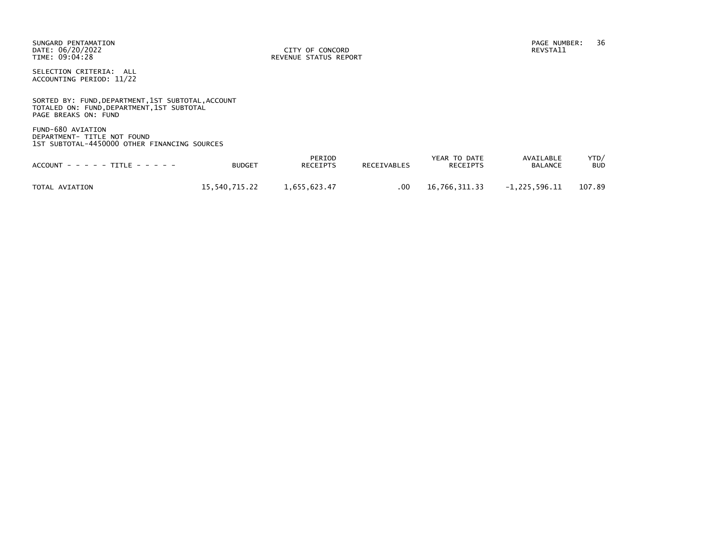SUNGARD PENTAMATION PAGE NUMBER: 36 DATE: 06/20/2022<br>TIME: 09:04:28

REVENUE STATUS REPORT

SELECTION CRITERIA: ALL ACCOUNTING PERIOD: 11/22

SORTED BY: FUND, DEPARTMENT, 1ST SUBTOTAL, ACCOUNT TOTALED ON: FUND,DEPARTMENT,1ST SUBTOTAL PAGE BREAKS ON: FUND

FUND-680 AVIATION DEPARTMENT- TITLE NOT FOUND 1ST SUBTOTAL-4450000 OTHER FINANCING SOURCES

| $ACCOUNT - - - - - TITE - - - - -$ | <b>BUDGET</b> | PERIOD<br>RECEIPTS | <b>RECEIVABLES</b> | YEAR TO DATE<br><b>RECEIPTS</b> | AVAILABLE<br><b>BALANCE</b> | YTD/<br><b>BUD</b> |
|------------------------------------|---------------|--------------------|--------------------|---------------------------------|-----------------------------|--------------------|
| TOTAL AVIATION                     | 15.540.715.22 | 1.655.623.47       | .00                | 16.766.311.33                   | -1.225.596.11               | 107.89             |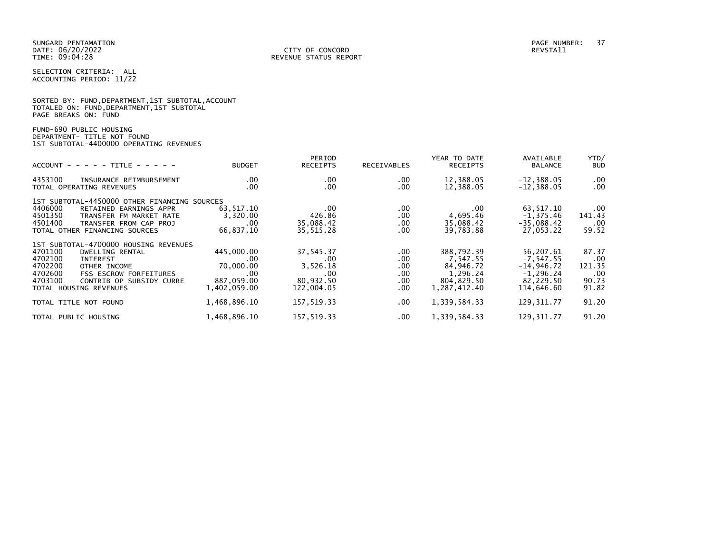|                      |  | SORTED BY: FUND, DEPARTMENT, 1ST SUBTOTAL, ACCOUNT |
|----------------------|--|----------------------------------------------------|
|                      |  | TOTALED ON: FUND,DEPARTMENT,1ST SUBTOTAL           |
| PAGE BREAKS ON: FUND |  |                                                    |

FUND-690 PUBLIC HOUSING DEPARTMENT- TITLE NOT FOUND 1ST SUBTOTAL-4400000 OPERATING REVENUES

| $ACCOUNT - - - - - TITE - - - - - -$                                                                                                                                                                                                      | <b>BUDGET</b>                                                       | PERIOD<br><b>RECEIPTS</b>                                           | RECEIVABLES                                                | YEAR TO DATE<br><b>RECEIPTS</b>                                               | AVAILABLE<br><b>BALANCE</b>                                                         | YTD/<br><b>BUD</b>                                     |
|-------------------------------------------------------------------------------------------------------------------------------------------------------------------------------------------------------------------------------------------|---------------------------------------------------------------------|---------------------------------------------------------------------|------------------------------------------------------------|-------------------------------------------------------------------------------|-------------------------------------------------------------------------------------|--------------------------------------------------------|
| 4353100<br>INSURANCE REIMBURSEMENT<br>TOTAL OPERATING REVENUES                                                                                                                                                                            | .00.<br>.00                                                         | $.00 \,$<br>$.00 \,$                                                | $.00 \,$<br>.00                                            | 12,388.05<br>12,388.05                                                        | $-12,388.05$<br>$-12,388.05$                                                        | $.00 \,$<br>$.00 \,$                                   |
| 1ST SUBTOTAL-4450000 OTHER FINANCING SOURCES<br>4406000<br>RETAINED EARNINGS APPR<br>4501350<br>TRANSFER FM MARKET RATE<br>4501400<br>TRANSFER FROM CAP PROJ<br>TOTAL OTHER FINANCING SOURCES                                             | 63,517.10<br>3,320.00<br>.00.<br>66,837.10                          | .00<br>426.86<br>35,088.42<br>35,515.28                             | .00<br>.00<br>$.00 \,$<br>.00                              | .00<br>4,695.46<br>35,088.42<br>39,783.88                                     | 63,517.10<br>$-1, 375.46$<br>$-35,088.42$<br>27,053.22                              | $.00 \,$<br>141.43<br>.00<br>59.52                     |
| 1ST SUBTOTAL-4700000 HOUSING REVENUES<br>4701100<br>DWELLING RENTAL<br>4702100<br><b>INTEREST</b><br>4702200<br>OTHER INCOME<br>4702600<br><b>FSS ESCROW FORFEITURES</b><br>4703100<br>CONTRIB OP SUBSIDY CURRE<br>TOTAL HOUSING REVENUES | 445,000.00<br>.00<br>70,000.00<br>.00<br>887.059.00<br>1,402,059.00 | 37,545.37<br>.00<br>3,526.18<br>$.00 \,$<br>80.932.50<br>122,004.05 | $.00 \,$<br>.00<br>.00<br>$.00 \,$<br>$.00 \,$<br>$.00 \,$ | 388,792.39<br>7.547.55<br>84,946.72<br>1.296.24<br>804,829.50<br>1,287,412.40 | 56,207.61<br>$-7.547.55$<br>$-14,946.72$<br>$-1, 296.24$<br>82.229.50<br>114,646.60 | 87.37<br>$.00 \ \,$<br>121.35<br>.00<br>90.73<br>91.82 |
| TOTAL TITLE NOT FOUND                                                                                                                                                                                                                     | 1,468,896.10                                                        | 157,519.33                                                          | $.00 \,$                                                   | 1,339,584.33                                                                  | 129, 311.77                                                                         | 91.20                                                  |
| TOTAL PUBLIC HOUSING                                                                                                                                                                                                                      | 1,468,896.10                                                        | 157,519.33                                                          | $.00 \,$                                                   | 1,339,584.33                                                                  | 129, 311.77                                                                         | 91.20                                                  |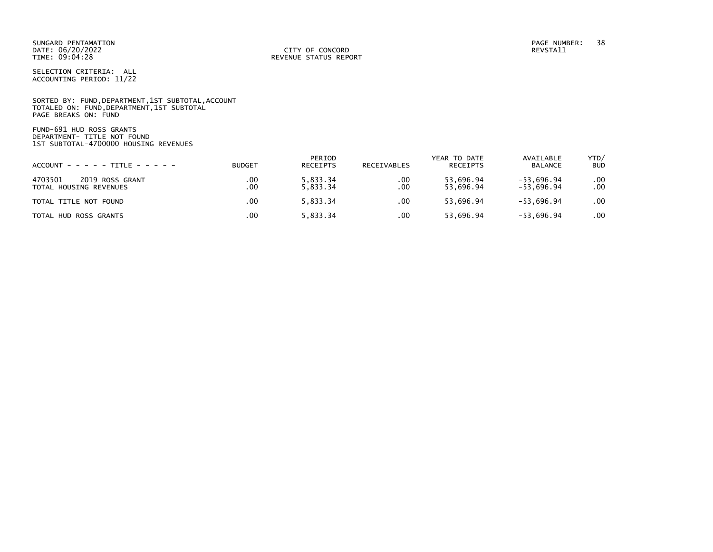SUNGARD PENTAMATION PAGE NUMBER: 38 DATE: 06/20/2022<br>TIME: 09:04:28

SELECTION CRITERIA: ALL ACCOUNTING PERIOD: 11/22

SORTED BY: FUND, DEPARTMENT, 1ST SUBTOTAL, ACCOUNT TOTALED ON: FUND,DEPARTMENT,1ST SUBTOTAL PAGE BREAKS ON: FUND

FUND-691 HUD ROSS GRANTS DEPARTMENT- TITLE NOT FOUND 1ST SUBTOTAL-4700000 HOUSING REVENUES

| $ACCOUNT - - - - - TITE - - - - - -$                 | <b>BUDGET</b> | PERIOD<br><b>RECEIPTS</b> | RECEIVABLES | YEAR TO DATE<br>RECEIPTS | AVAILABLE<br><b>BALANCE</b>  | YTD/<br><b>BUD</b> |
|------------------------------------------------------|---------------|---------------------------|-------------|--------------------------|------------------------------|--------------------|
| 4703501<br>2019 ROSS GRANT<br>TOTAL HOUSING REVENUES | .00<br>.00    | 5,833.34<br>5.833.34      | .00<br>.00  | 53,696.94<br>53.696.94   | $-53,696.94$<br>$-53.696.94$ | .00.<br>.00.       |
| TOTAL TITLE NOT FOUND                                | .00           | 5.833.34                  | .00         | 53.696.94                | $-53.696.94$                 | .00                |
| TOTAL HUD ROSS GRANTS                                | .00           | 5.833.34                  | .00         | 53,696.94                | $-53,696.94$                 | .00                |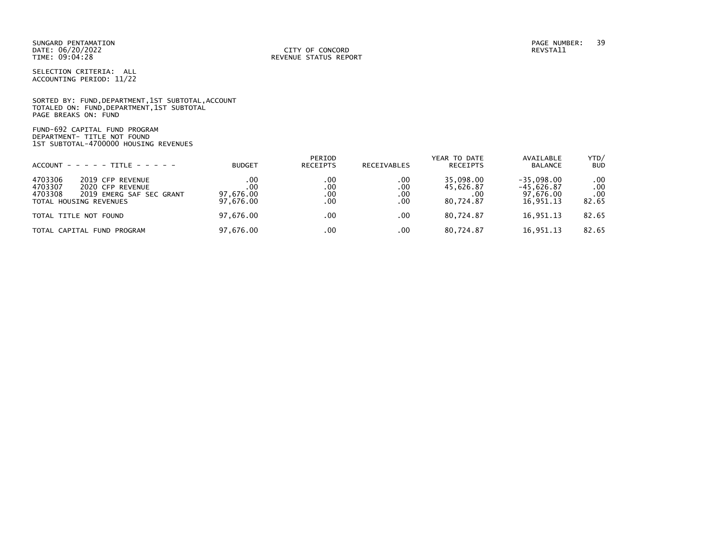SUNGARD PENTAMATION PAGE NUMBER: 39 DATE: 06/20/2022<br>TIME: 09:04:28

SELECTION CRITERIA: ALL ACCOUNTING PERIOD: 11/22

SORTED BY: FUND,DEPARTMENT,1ST SUBTOTAL,ACCOUNT TOTALED ON: FUND,DEPARTMENT,1ST SUBTOTAL PAGE BREAKS ON: FUND

FUND-692 CAPITAL FUND PROGRAM DEPARTMENT- TITLE NOT FOUND 1ST SUBTOTAL-4700000 HOUSING REVENUES

| $ACCOUNT - - - - - TITE - - - - -$                                                                                          | <b>BUDGET</b>                        | PERIOD<br><b>RECEIPTS</b> | <b>RECEIVABLES</b>       | YEAR TO DATE<br><b>RECEIPTS</b>            | AVAILABLE<br><b>BALANCE</b>                            | YTD/<br><b>BUD</b>              |
|-----------------------------------------------------------------------------------------------------------------------------|--------------------------------------|---------------------------|--------------------------|--------------------------------------------|--------------------------------------------------------|---------------------------------|
| 4703306<br>2019 CFP REVENUE<br>4703307<br>2020 CFP REVENUE<br>4703308<br>2019 EMERG SAF SEC GRANT<br>TOTAL HOUSING REVENUES | .00<br>.00<br>97,676.00<br>97,676.00 | .00<br>.00<br>.00<br>.00  | .00<br>.00<br>.00<br>.00 | 35.098.00<br>45,626.87<br>.00<br>80.724.87 | $-35.098.00$<br>$-45,626.87$<br>97.676.00<br>16,951.13 | $.00 \,$<br>.00<br>.00<br>82.65 |
| TOTAL TITLE NOT FOUND                                                                                                       | 97,676.00                            | $.00 \times$              | .00                      | 80.724.87                                  | 16.951.13                                              | 82.65                           |
| TOTAL CAPITAL FUND PROGRAM                                                                                                  | 97,676.00                            | $.00 \,$                  | .00                      | 80,724.87                                  | 16,951.13                                              | 82.65                           |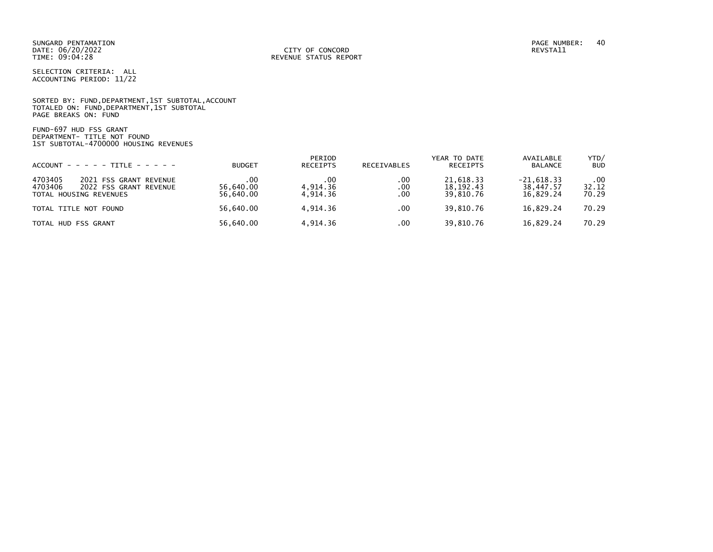SUNGARD PENTAMATION PAGE NUMBER: 40 DATE: 06/20/2022<br>TIME: 09:04:28

SELECTION CRITERIA: ALL ACCOUNTING PERIOD: 11/22

SORTED BY: FUND, DEPARTMENT, 1ST SUBTOTAL, ACCOUNT TOTALED ON: FUND,DEPARTMENT,1ST SUBTOTAL PAGE BREAKS ON: FUND

FUND-697 HUD FSS GRANT DEPARTMENT- TITLE NOT FOUND 1ST SUBTOTAL-4700000 HOUSING REVENUES

| $ACCOUNT - - - - - TITE - - - - -$                                                               | <b>BUDGET</b>                 | PERIOD<br>RECEIPTS          | RECEIVABLES       | YEAR TO DATE<br>RECEIPTS              | AVAILABLE<br>BALANCE                   | YTD/<br><b>BUD</b>    |
|--------------------------------------------------------------------------------------------------|-------------------------------|-----------------------------|-------------------|---------------------------------------|----------------------------------------|-----------------------|
| 4703405<br>2021 FSS GRANT REVENUE<br>4703406<br>2022 FSS GRANT REVENUE<br>TOTAL HOUSING REVENUES | .00<br>56.640.00<br>56.640.00 | .00<br>4.914.36<br>4.914.36 | .00<br>.00<br>.00 | 21.618.33<br>18, 192. 43<br>39.810.76 | $-21,618.33$<br>38,447.57<br>16.829.24 | .00<br>32.12<br>70.29 |
| TOTAL TITLE NOT FOUND                                                                            | 56,640.00                     | 4.914.36                    | .00               | 39,810.76                             | 16,829.24                              | 70.29                 |
| TOTAL HUD FSS GRANT                                                                              | 56,640.00                     | 4.914.36                    | .00               | 39,810.76                             | 16,829.24                              | 70.29                 |